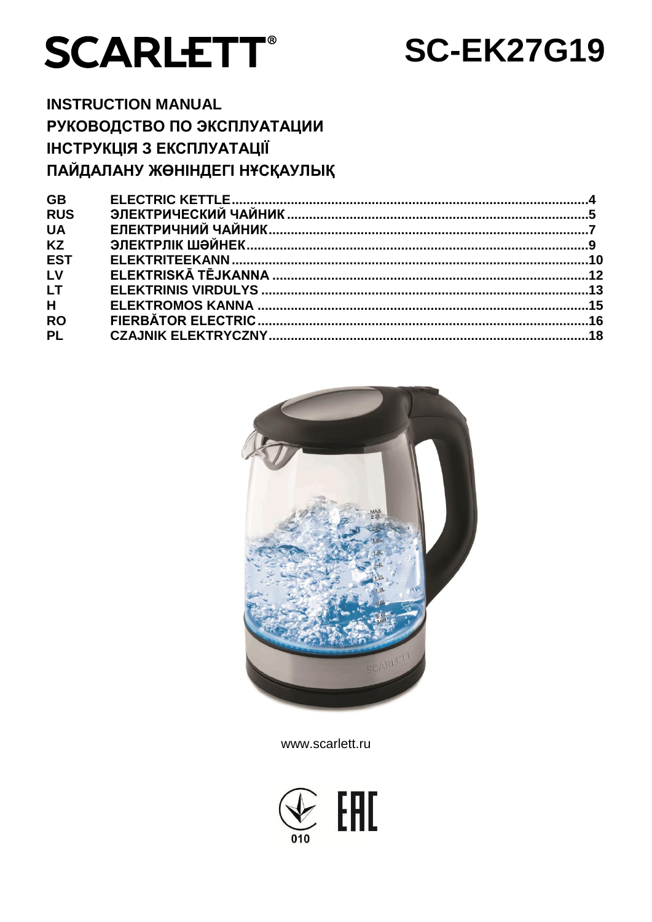# **SCARLETT®**

## **SC-EK27G19**

**INSTRUCTION MANUAL** РУКОВОДСТВО ПО ЭКСПЛУАТАЦИИ **ІНСТРУКЦІЯ З ЕКСПЛУАТАЦІЇ** ПАЙДАЛАНУ ЖӨНІНДЕГІ НҰСҚАУЛЫҚ

| <b>GB</b>  |  |
|------------|--|
| <b>RUS</b> |  |
| <b>UA</b>  |  |
| <b>KZ</b>  |  |
| <b>EST</b> |  |
| LV         |  |
| <b>LT</b>  |  |
| H          |  |
| <b>RO</b>  |  |
| <b>PL</b>  |  |
|            |  |



www.scarlett.ru

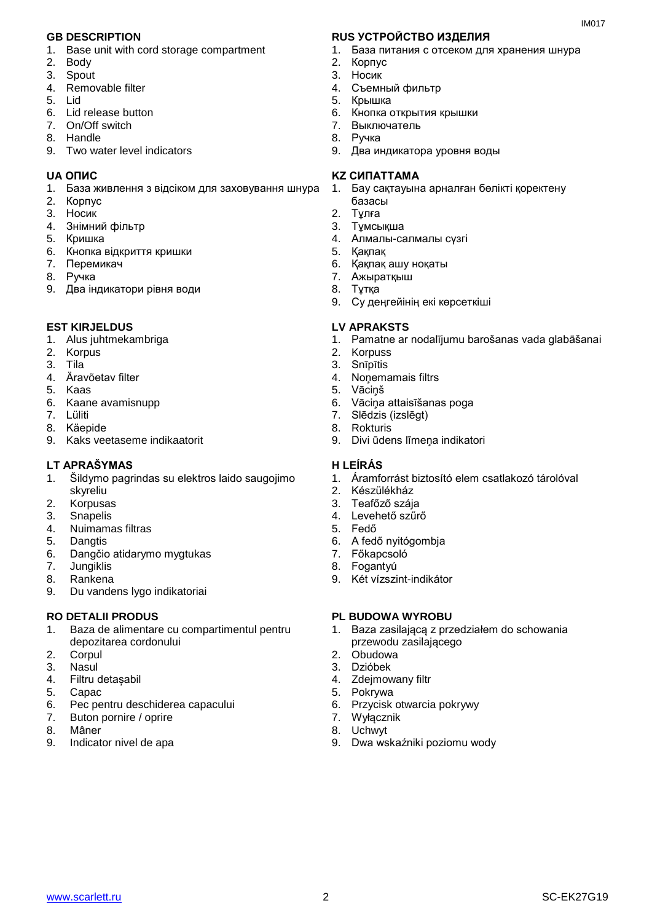- 1. Base unit with cord storage compartment
- 2. Body
- 3. Spout
- 4. Removable filter
- 5. Lid
- 6. Lid release button
- 7. On/Off switch
- 8. Handle
- 9. Two water level indicators

- 1. База живлення з відсіком для заховування шнура
- 2. Корпус
- 3. Носик
- 4. Знiмний фільтр
- 5. Кришка
- 6. Кнопка відкриття кришки
- 7. Перемикач
- 8. Ручка
- 9. Два індикатори рівня води

#### **EST KIRJELDUS LV APRAKSTS**

- 1. Alus juhtmekambriga
- 2. Korpus
- 3. Tila
- 4. Äravõetav filter
- 5. Kaas
- 6. Kaane avamisnupp
- 7. Lüliti
- 8. Käepide
- 9. Kaks veetaseme indikaatorit

#### **LT APRAŠYMAS H LEÍRÁS**

- 1. Šildymo pagrindas su elektros laido saugojimo skyreliu
- 2. Korpusas<br>3. Snapelis
- 3. Snapelis<br>4. Nuimama
- 4. Nuimamas filtras
- 5. Dangtis
- 6. Dangčio atidarymo mygtukas
- 7. Jungiklis
- 8. Rankena
- 9. Du vandens lygo indikatoriai

- 1. Baza de alimentare cu compartimentul pentru depozitarea cordonului
- 2. Corpul
- 3. Nasul
- 4. Filtru detașabil
- 5. Capac
- 6. Pec pentru deschiderea capacului
- 7. Buton pornire / oprire
- 8. Mâner
- 9. Indicator nivel de apa

#### **GB DESCRIPTION RUS УСТРОЙСТВО ИЗДЕЛИЯ**

1. База питания с отсеком для хранения шнура

 $IMAO17$ 

- 2. Корпус
- 3. Носик
- 4. Съемный фильтр
- 5. Крышка
- 6. Кнопка открытия крышки
- 7. Выключатель
- 8. Ручка
- 9. Два индикатора уровня воды

#### **UA ОПИС KZ СИПАТТАМА**

- 1. Бау сақтауына арналған бөлікті қоректену
- базасы
- 2. Тұлға
- 3. Тұмсықша
- 4. Алмалы-салмалы сүзгі
- 5. Қақпақ
- 6. Қақпақ ашу ноқаты
- 7. Ажыратқыш
- 8. Тұтқа
- 9. Су деңгейінің екі көрсеткіші

- 1. Pamatne ar nodalījumu barošanas vada glabāšanai
- 2. Korpuss
- 3. Snīpītis
- 4. Noņemamais filtrs
- 5. Vāciņš
- 6. Vāciņa attaisīšanas poga
- 7. Slēdzis (izslēgt)
- 8. Rokturis
- 9. Divi ūdens līmeņa indikatori

- 1. Áramforrást biztosító elem csatlakozó tárolóval
- 2. Készülékház
- 3. Teafőző szája
- 4. Levehető szűrő
- 5. Fedő
- 6. A fedő nyitógombja
- 7. Főkapcsoló
- 8. Fogantyú
- 9. Két vízszint-indikátor

#### **RO DETALII PRODUS PL BUDOWA WYROBU**

- 1. Baza zasilającą z przedziałem do schowania przewodu zasilającego
- 2. Obudowa
- 3. Dzióbek
- 4. Zdejmowany filtr
- 5. Pokrywa
- 6. Przycisk otwarcia pokrywy
- 7. Wyłącznik
- 8. Uchwyt 9. Dwa wskaźniki poziomu wody

www.scarlett.ru SC-EK27G19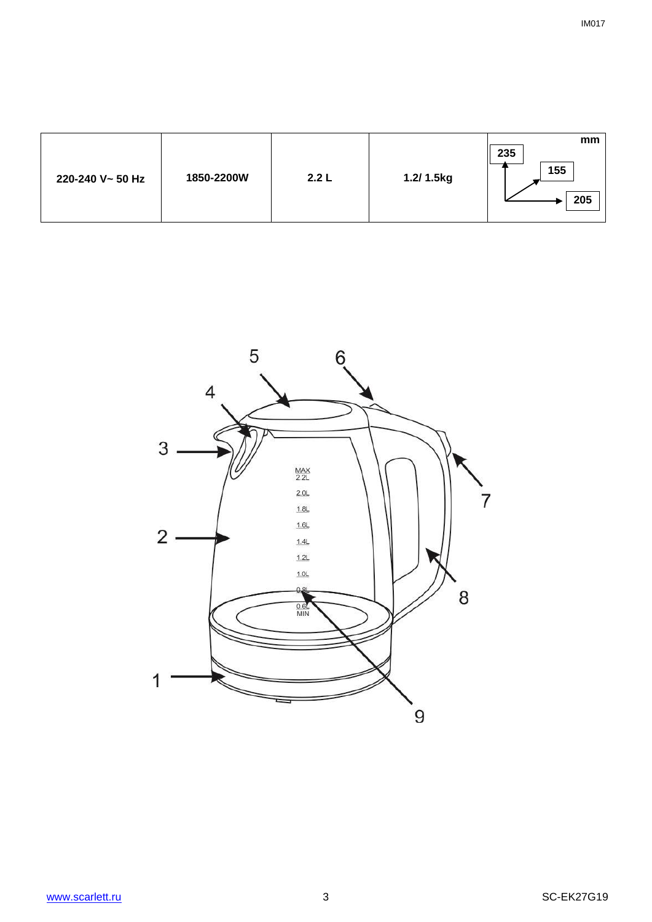| 220-240 V~ 50 Hz | 1850-2200W | 2.2 L | 1.2/ 1.5kg | mm<br>235<br>155<br>205 |
|------------------|------------|-------|------------|-------------------------|
|------------------|------------|-------|------------|-------------------------|

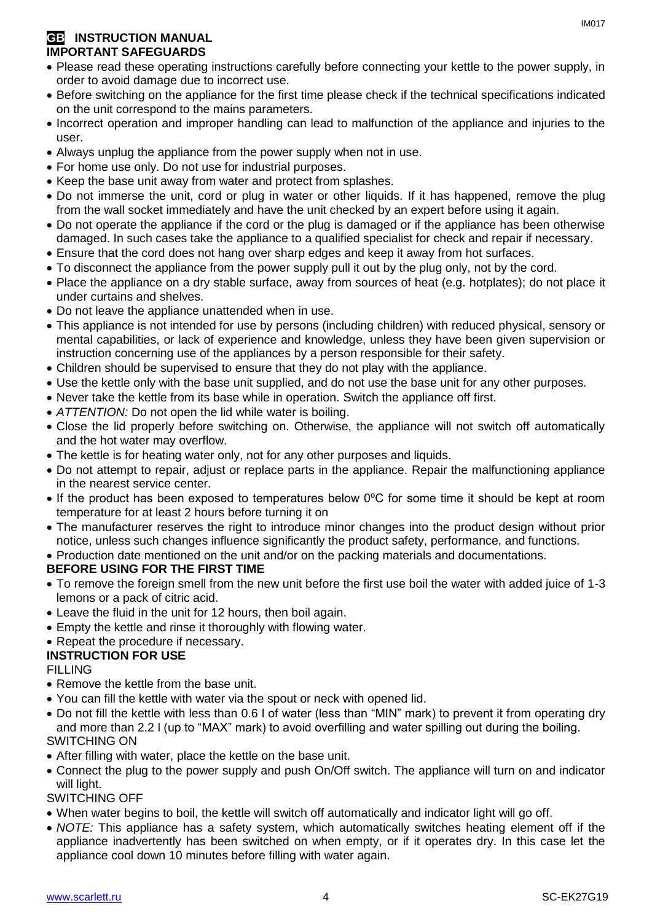#### **GB** INSTRUCTION MANUAL **IMPORTANT SAFEGUARDS**

- Please read these operating instructions carefully before connecting your kettle to the power supply, in order to avoid damage due to incorrect use.
- Before switching on the appliance for the first time please check if the technical specifications indicated on the unit correspond to the mains parameters.
- Incorrect operation and improper handling can lead to malfunction of the appliance and injuries to the user.
- Always unplug the appliance from the power supply when not in use.
- For home use only. Do not use for industrial purposes.
- Keep the base unit away from water and protect from splashes.
- Do not immerse the unit, cord or plug in water or other liquids. If it has happened, remove the plug from the wall socket immediately and have the unit checked by an expert before using it again.
- Do not operate the appliance if the cord or the plug is damaged or if the appliance has been otherwise damaged. In such cases take the appliance to a qualified specialist for check and repair if necessary.
- Ensure that the cord does not hang over sharp edges and keep it away from hot surfaces.
- To disconnect the appliance from the power supply pull it out by the plug only, not by the cord.
- Place the appliance on a dry stable surface, away from sources of heat (e.g. hotplates); do not place it under curtains and shelves.
- Do not leave the appliance unattended when in use.
- This appliance is not intended for use by persons (including children) with reduced physical, sensory or mental capabilities, or lack of experience and knowledge, unless they have been given supervision or instruction concerning use of the appliances by a person responsible for their safety.
- Children should be supervised to ensure that they do not play with the appliance.
- Use the kettle only with the base unit supplied, and do not use the base unit for any other purposes.
- Never take the kettle from its base while in operation. Switch the appliance off first.
- *ATTENTION:* Do not open the lid while water is boiling.
- Close the lid properly before switching on. Otherwise, the appliance will not switch off automatically and the hot water may overflow.
- The kettle is for heating water only, not for any other purposes and liquids.
- Do not attempt to repair, adjust or replace parts in the appliance. Repair the malfunctioning appliance in the nearest service center.
- If the product has been exposed to temperatures below 0ºC for some time it should be kept at room temperature for at least 2 hours before turning it on
- The manufacturer reserves the right to introduce minor changes into the product design without prior notice, unless such changes influence significantly the product safety, performance, and functions.

• Production date mentioned on the unit and/or on the packing materials and documentations.

#### **BEFORE USING FOR THE FIRST TIME**

- To remove the foreign smell from the new unit before the first use boil the water with added juice of 1-3 lemons or a pack of citric acid.
- Leave the fluid in the unit for 12 hours, then boil again.
- Empty the kettle and rinse it thoroughly with flowing water.
- Repeat the procedure if necessary.

#### **INSTRUCTION FOR USE**

#### FILLING

- Remove the kettle from the base unit.
- You can fill the kettle with water via the spout or neck with opened lid.
- Do not fill the kettle with less than 0.6 l of water (less than "MIN" mark) to prevent it from operating dry and more than 2.2 l (up to "MAX" mark) to avoid overfilling and water spilling out during the boiling. SWITCHING ON
- After filling with water, place the kettle on the base unit.
- Connect the plug to the power supply and push On/Off switch. The appliance will turn on and indicator will light.

#### SWITCHING OFF

- When water begins to boil, the kettle will switch off automatically and indicator light will go off.
- *NOTE:* This appliance has a safety system, which automatically switches heating element off if the appliance inadvertently has been switched on when empty, or if it operates dry. In this case let the appliance cool down 10 minutes before filling with water again.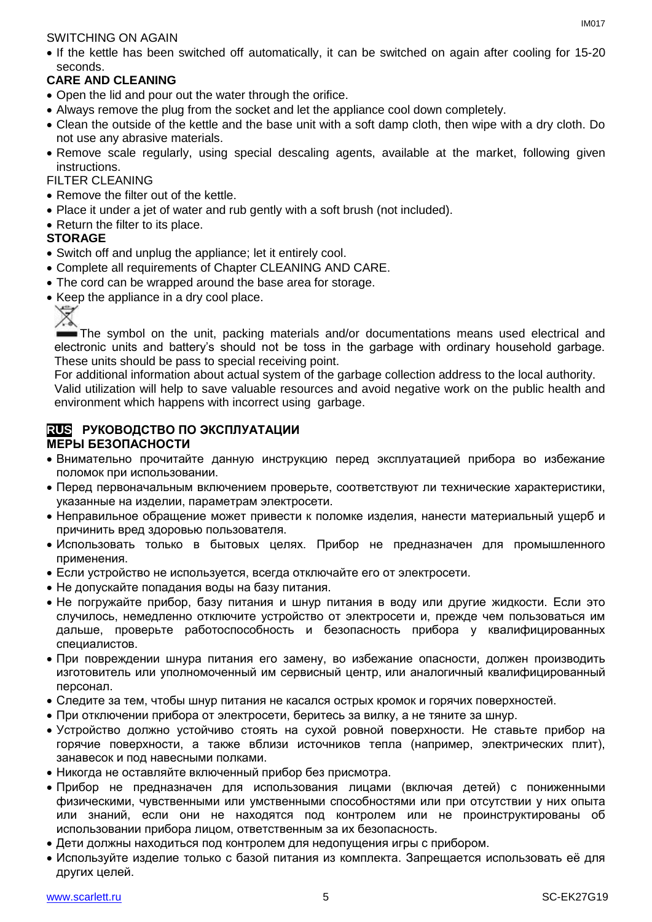#### SWITCHING ON AGAIN

• If the kettle has been switched off automatically, it can be switched on again after cooling for 15-20 seconds.

### **CARE AND CLEANING**

- Open the lid and pour out the water through the orifice.
- Always remove the plug from the socket and let the appliance cool down completely.
- Clean the outside of the kettle and the base unit with a soft damp cloth, then wipe with a dry cloth. Do not use any abrasive materials.
- Remove scale regularly, using special descaling agents, available at the market, following given instructions.

#### FILTER CLEANING

- Remove the filter out of the kettle.
- Place it under a jet of water and rub gently with a soft brush (not included).
- Return the filter to its place.

#### **STORAGE**

- Switch off and unplug the appliance; let it entirely cool.
- Complete all requirements of Chapter CLEANING AND CARE.
- The cord can be wrapped around the base area for storage.
- Keep the appliance in a dry cool place.



The symbol on the unit, packing materials and/or documentations means used electrical and electronic units and battery's should not be toss in the garbage with ordinary household garbage. These units should be pass to special receiving point.

For additional information about actual system of the garbage collection address to the local authority.

Valid utilization will help to save valuable resources and avoid negative work on the public health and environment which happens with incorrect using garbage.

#### **RUS РУКОВОДСТВО ПО ЭКСПЛУАТАЦИИ МЕРЫ БЕЗОПАСНОСТИ**

- Внимательно прочитайте данную инструкцию перед эксплуатацией прибора во избежание поломок при использовании.
- Перед первоначальным включением проверьте, соответствуют ли технические характеристики, указанные на изделии, параметрам электросети.
- Неправильное обращение может привести к поломке изделия, нанести материальный ушерб и причинить вред здоровью пользователя.
- Использовать только в бытовых целях. Прибор не предназначен для промышленного применения.
- Если устройство не используется, всегда отключайте его от электросети.
- Не допускайте попадания воды на базу питания.
- Не погружайте прибор, базу питания и шнур питания в воду или другие жидкости. Если это случилось, немедленно отключите устройство от электросети и, прежде чем пользоваться им дальше, проверьте работоспособность и безопасность прибора у квалифицированных специалистов.
- При повреждении шнура питания его замену, во избежание опасности, должен производить изготовитель или уполномоченный им сервисный центр, или аналогичный квалифицированный персонал.
- Следите за тем, чтобы шнур питания не касался острых кромок и горячих поверхностей.
- При отключении прибора от электросети, беритесь за вилку, а не тяните за шнур.
- Устройство должно устойчиво стоять на сухой ровной поверхности. Не ставьте прибор на горячие поверхности, а также вблизи источников тепла (например, электрических плит), занавесок и под навесными полками.
- Никогда не оставляйте включенный прибор без присмотра.
- Прибор не предназначен для использования лицами (включая детей) с пониженными физическими, чувственными или умственными способностями или при отсутствии у них опыта или знаний, если они не находятся под контролем или не проинструктированы об использовании прибора лицом, ответственным за их безопасность.
- Дети должны находиться под контролем для недопущения игры с прибором.
- Используйте изделие только с базой питания из комплекта. Запрещается использовать её для других целей.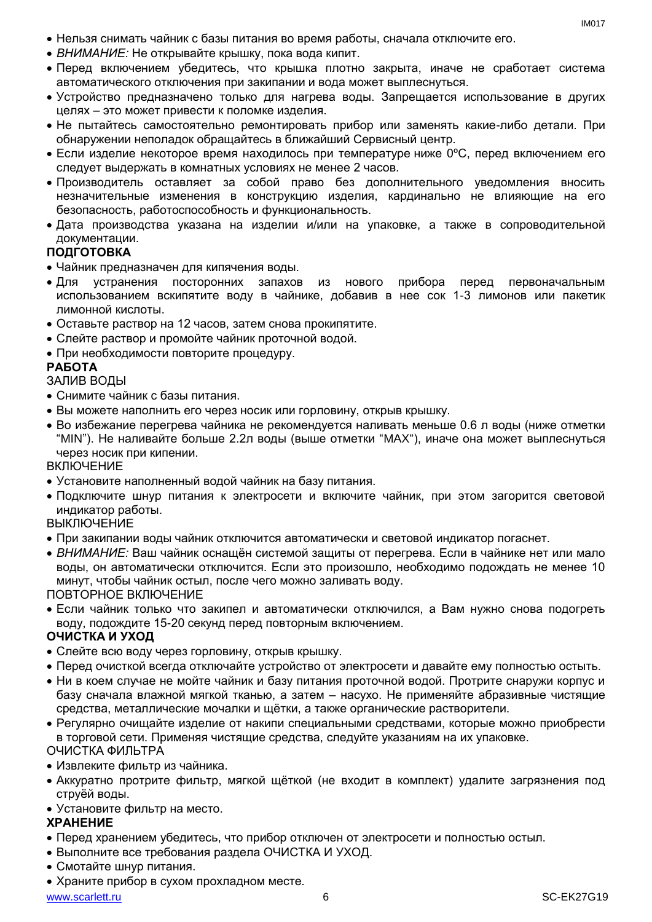- Нельзя снимать чайник с базы питания во время работы, сначала отключите его.
- *ВНИМАНИЕ:* Не открывайте крышку, пока вода кипит.
- Перед включением убедитесь, что крышка плотно закрыта, иначе не сработает система автоматического отключения при закипании и вода может выплеснуться.
- Устройство предназначено только для нагрева воды. Запрещается использование в других целях – это может привести к поломке изделия.
- Не пытайтесь самостоятельно ремонтировать прибор или заменять какие-либо детали. При обнаружении неполадок обращайтесь в ближайший Сервисный центр.
- Если изделие некоторое время находилось при температуре ниже 0ºC, перед включением его следует выдержать в комнатных условиях не менее 2 часов.
- Производитель оставляет за собой право без дополнительного уведомления вносить незначительные изменения в конструкцию изделия, кардинально не влияющие на его безопасность, работоспособность и функциональность.
- Дата производства указана на изделии и/или на упаковке, а также в сопроводительной документации.

#### **ПОДГОТОВКА**

- Чайник предназначен для кипячения воды.
- Для устранения посторонних запахов из нового прибора перед первоначальным использованием вскипятите воду в чайнике, добавив в нее сок 1-3 лимонов или пакетик лимонной кислоты.
- Оставьте раствор на 12 часов, затем снова прокипятите.
- Слейте раствор и промойте чайник проточной водой.
- При необходимости повторите процедуру.

#### **РАБОТА**

#### ЗАЛИВ ВОДЫ

- Снимите чайник с базы питания.
- Вы можете наполнить его через носик или горловину, открыв крышку.
- Во избежание перегрева чайника не рекомендуется наливать меньше 0.6 л воды (ниже отметки "MIN"). Не наливайте больше 2.2л воды (выше отметки "MAX"), иначе она может выплеснуться через носик при кипении.

#### **ВКЛЮЧЕНИЕ**

- Установите наполненный водой чайник на базу питания.
- Подключите шнур питания к электросети и включите чайник, при этом загорится световой индикатор работы.

**ВЫКЛЮЧЕНИЕ** 

- При закипании воды чайник отключится автоматически и световой индикатор погаснет.
- *ВНИМАНИЕ:* Ваш чайник оснащён системой защиты от перегрева. Если в чайнике нет или мало воды, он автоматически отключится. Если это произошло, необходимо подождать не менее 10 минут, чтобы чайник остыл, после чего можно заливать воду.

ПОВТОРНОЕ ВКЛЮЧЕНИЕ

 Если чайник только что закипел и автоматически отключился, а Вам нужно снова подогреть воду, подождите 15-20 секунд перед повторным включением.

#### **ОЧИСТКА И УХОД**

- Слейте всю воду через горловину, открыв крышку.
- Перед очисткой всегда отключайте устройство от электросети и давайте ему полностью остыть.
- Ни в коем случае не мойте чайник и базу питания проточной водой. Протрите снаружи корпус и базу сначала влажной мягкой тканью, а затем – насухо. Не применяйте абразивные чистящие средства, металлические мочалки и щётки, а также органические растворители.
- Регулярно очищайте изделие от накипи специальными средствами, которые можно приобрести в торговой сети. Применяя чистящие средства, следуйте указаниям на их упаковке. ОЧИСТКА ФИЛЬТРА

#### Извлеките фильтр из чайника.

- Аккуратно протрите фильтр, мягкой щёткой (не входит в комплект) удалите загрязнения под струёй воды.
- Установите фильтр на место.

#### **ХРАНЕНИЕ**

- Перед хранением убедитесь, что прибор отключен от электросети и полностью остыл.
- Выполните все требования раздела ОЧИСТКА И УХОД.
- Смотайте шнур питания.
- Храните прибор в сухом прохладном месте.

www.scarlett.ru 6 SC-EK27G19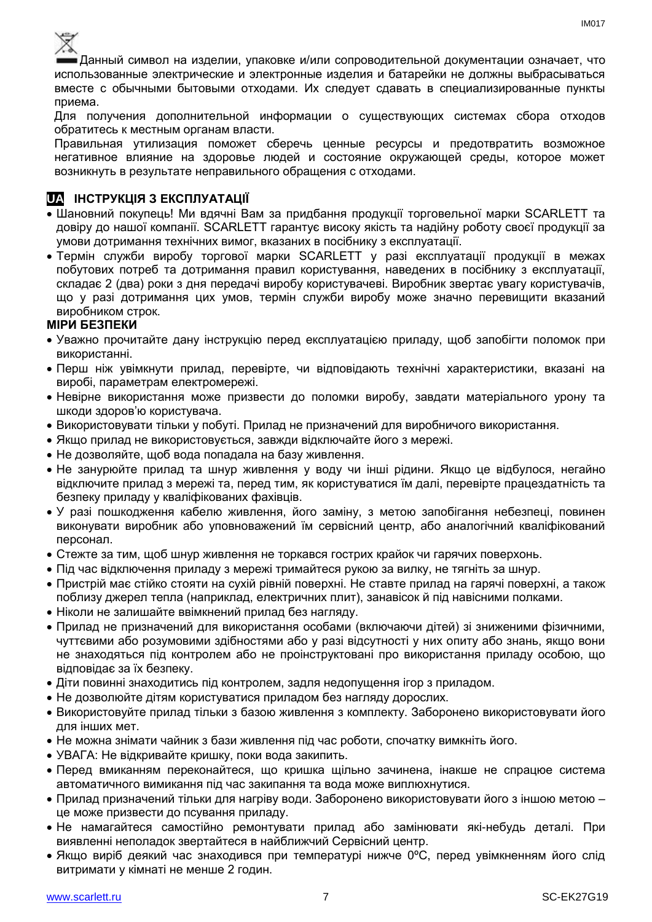

Данный символ на изделии, упаковке и/или сопроводительной документации означает, что использованные электрические и электронные изделия и батарейки не должны выбрасываться вместе с обычными бытовыми отходами. Их следует сдавать в специализированные пункты приема.

Для получения дополнительной информации о существующих системах сбора отходов обратитесь к местным органам власти.

Правильная утилизация поможет сберечь ценные ресурсы и предотвратить возможное негативное влияние на здоровье людей и состояние окружающей среды, которое может возникнуть в результате неправильного обращения с отходами.

#### **UA ІНСТРУКЦІЯ З ЕКСПЛУАТАЦІЇ**

- Шановний покупець! Ми вдячні Вам за придбання продукції торговельної марки SCARLETT та довіру до нашої компанії. SCARLETT гарантує високу якість та надійну роботу своєї продукції за умови дотримання технічних вимог, вказаних в посібнику з експлуатації.
- Термін служби виробу торгової марки SCARLETT у разі експлуатації продукції в межах побутових потреб та дотримання правил користування, наведених в посібнику з експлуатації, складає 2 (два) роки з дня передачі виробу користувачеві. Виробник звертає увагу користувачів, що у разі дотримання цих умов, термін служби виробу може значно перевищити вказаний виробником строк.

#### **МІРИ БЕЗПЕКИ**

- Уважно прочитайте дану інструкцію перед експлуатацією приладу, щоб запобігти поломок при використанні.
- Перш ніж увімкнути прилад, перевірте, чи відповідають технічні характеристики, вказані на виробі, параметрам електромережі.
- Невiрне використання може призвести до поломки виробу, завдати матеріального урону та шкоди здоров'ю користувача.
- Використовувати тільки у побуті. Прилад не призначений для виробничого використання.
- Якщо прилад не використовується, завжди відключайте його з мережі.
- Не дозволяйте, щоб вода попадала на базу живлення.
- Не занурюйте прилад та шнур живлення у воду чи інші рідини. Якщо це відбулося, негайно відключите прилад з мережі та, перед тим, як користуватися їм далі, перевірте працездатність та безпеку приладу у кваліфікованих фахівців.
- У разі пошкодження кабелю живлення, його заміну, з метою запобігання небезпеці, повинен виконувати виробник або уповноважений їм сервісний центр, або аналогічний кваліфікований персонал.
- Стежте за тим, щоб шнур живлення не торкався гострих крайок чи гарячих поверхонь.
- Пiд час відключення приладу з мережі тримайтеся рукою за вилку, не тягніть за шнур.
- Пристрій має стійко стояти на сухій рiвній поверхні. Не ставте прилад на гарячі поверхні, а також поблизу джерел тепла (наприклад, електричних плит), занавісок й під навісними полками.
- Ніколи не залишайте ввімкнений прилад без нагляду.
- Прилад не призначений для використання особами (включаючи дітей) зі зниженими фізичними, чуттєвими або розумовими здібностями або у разі відсутності у них опиту або знань, якщо вони не знаходяться під контролем або не проінструктовані про використання приладу особою, що відповідає за їх безпеку.
- Діти повинні знаходитись під контролем, задля недопущення ігор з приладом.
- Не дозволюйте дітям користуватися приладом без нагляду дорослих.
- Використовуйте прилад тільки з базою живлення з комплекту. Заборонено використовувати його для iнших мет.
- Не можна знімати чайник з бази живлення пiд час роботи, спочатку вимкніть його.
- УВАГА: Не відкривайте кришку, поки вода закипить.
- Перед вмиканням переконайтеся, що кришка щільно зачинена, інакше не спрацюе система автоматичного вимикання пiд час закипання та вода може виплюхнутися.
- Прилад призначений тільки для нагріву води. Заборонено використовувати його з іншою метою це може призвести до псування приладу.
- Не намагайтеся самостійно ремонтувати прилад або замінювати які-небудь деталі. При виявленні неполадок звертайтеся в найближчий Сервісний центр.
- Якщо виріб деякий час знаходився при температурі нижче 0ºC, перед увімкненням його слід витримати у кімнаті не менше 2 годин.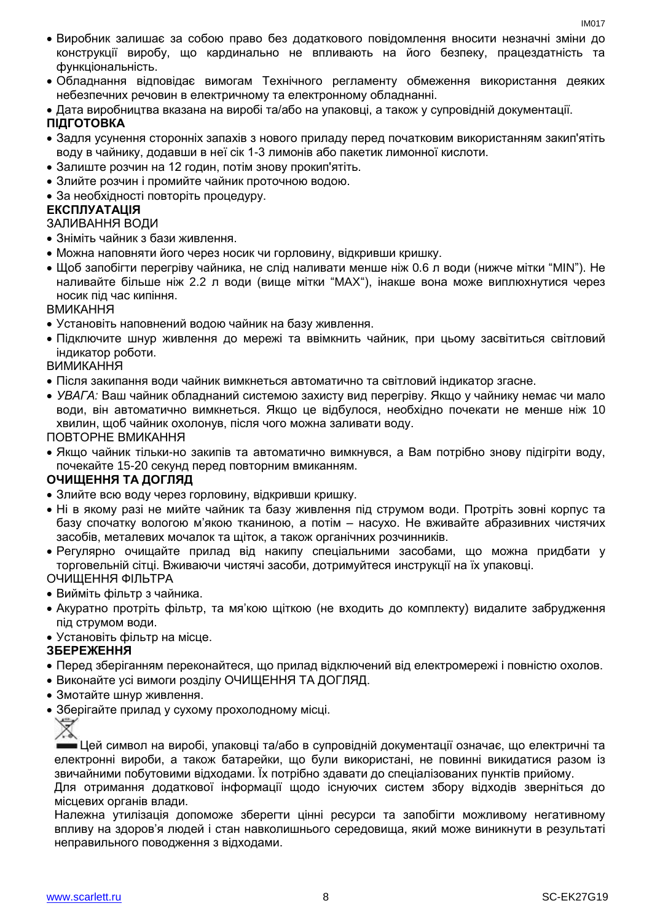- Виробник залишає за собою право без додаткового повідомлення вносити незначні зміни до конструкції виробу, що кардинально не впливають на його безпеку, працездатність та функціональність.
- Обладнання відповідає вимогам Технічного регламенту обмеження використання деяких небезпечних речовин в електричному та електронному обладнанні.
- Дата виробництва вказана на виробі та/або на упаковці, а також у супровідній документації.

### **ПІДГОТОВКА**

- Задля усунення сторонніх запахів з нового приладу перед початковим використанням закип'ятіть воду в чайнику, додавши в неї сік 1-3 лимонів або пакетик лимонної кислоти.
- Залиште розчин на 12 годин, потім знову прокип'ятіть.
- Злийте розчин і промийте чайник проточною водою.
- За необхідності повторіть процедуру.

#### **ЕКСПЛУАТАЦІЯ**

#### ЗАЛИВАННЯ ВОДИ

- Зніміть чайник з бази живлення.
- Можна наповняти його через носик чи горловину, відкривши кришку.
- Щоб запобігти перегріву чайника, не слiд наливати менше ніж 0.6 л води (нижче мітки "MIN"). Не наливайте більше ніж 2.2 л води (вище мітки "MAX"), інакше вона може виплюхнутися через носик пiд час кипіння.

ВМИКАННЯ

- Установіть наповнений водою чайник на базу живлення.
- Підключите шнур живлення до мережі та ввімкнить чайник, при цьому засвітиться світловий індикатор роботи.

ВИМИКАННЯ

- Після закипання води чайник вимкнеться автоматично та світловий індикатор згасне.
- *УВАГА:* Ваш чайник обладнаний системою захисту вид перегріву. Якщо у чайнику немає чи мало води, він автоматично вимкнеться. Якщо це відбулося, необхідно почекати не менше ніж 10 хвилин, щоб чайник охолонув, після чого можна заливати воду.

ПОВТОРНЕ ВМИКАННЯ

 Якщо чайник тільки-но закипів та автоматично вимкнувся, а Вам потрібно знову підігріти воду, почекайте 15-20 секунд перед повторним вмиканням.

#### **ОЧИЩЕННЯ ТА ДОГЛЯД**

- Злийте всю воду через горловину, відкривши кришку.
- Ні в якому разі не мийте чайник та базу живлення під струмом води. Протріть зовні корпус та базу спочатку вологою м'якою тканиною, а потім – насухо. Не вживайте абразивних чистячих засобів, металевих мочалок та щіток, а також органічних розчинників.
- Регулярно очищайте прилад від накипу спеціальними засобами, що можна придбати у торговельній сітці. Вживаючи чистячі засоби, дотримуйтеся инструкції на їх упаковці. ОЧИЩЕННЯ ФІЛЬТРА
- Вийміть фільтр з чайника.
- Акуратно протріть фільтр, та мя'кою щіткою (не входить до комплекту) видалите забрудження під струмом води.
- Установіть фільтр на місце.

#### **ЗБЕРЕЖЕННЯ**

- Перед зберіганням переконайтеся, що прилад відключений від електромережі і повністю охолов.
- Виконайте усі вимоги розділу ОЧИЩЕННЯ ТА ДОГЛЯД.
- Змотайте шнур живлення.
- Зберігайте прилад у сухому прохолодному місці.



Цей символ на виробі, упаковці та/або в супровідній документації означає, що електричні та електронні вироби, а також батарейки, що були використані, не повинні викидатися разом із звичайними побутовими відходами. Їх потрібно здавати до спеціалізованих пунктів прийому.

Для отримання додаткової інформації щодо існуючих систем збору відходів зверніться до місцевих органів влади.

Належна утилізація допоможе зберегти цінні ресурси та запобігти можливому негативному впливу на здоров'я людей і стан навколишнього середовища, який може виникнути в результаті неправильного поводження з відходами.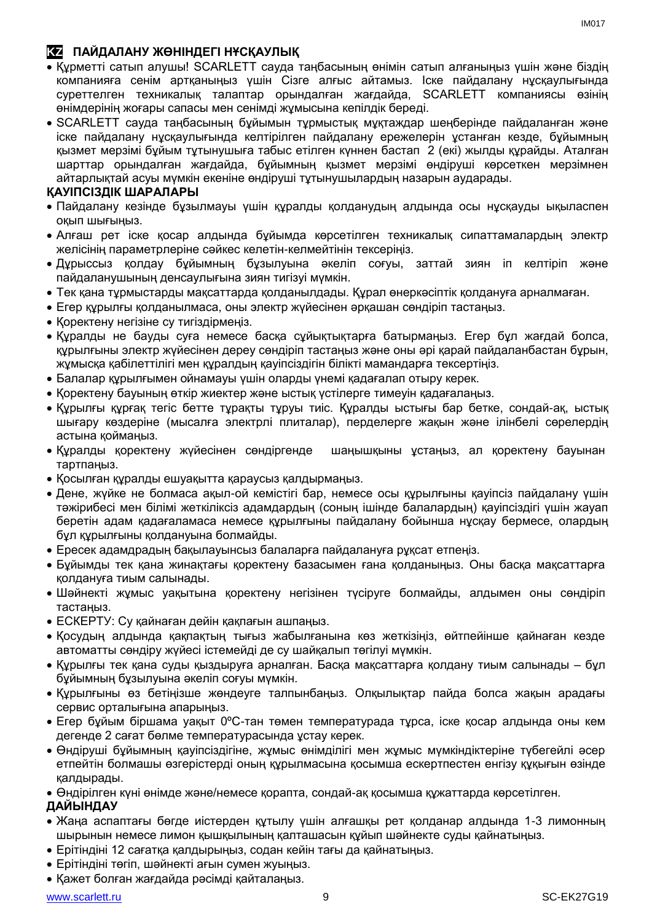### **KZ ПАЙДАЛАНУ ЖӨНІНДЕГІ НҰСҚАУЛЫҚ**

- Құрметті сатып алушы! SCARLETT сауда таңбасының өнімін сатып алғаныңыз үшін және біздің компанияға сенім артқаныңыз үшін Сізге алғыс айтамыз. Іске пайдалану нұсқаулығында суреттелген техникалық талаптар орындалған жағдайда, SCARLETT компаниясы өзінің өнімдерінің жоғары сапасы мен сенімді жұмысына кепілдік береді.
- SCARLETT сауда таңбасының бұйымын тұрмыстық мұқтаждар шеңберінде пайдаланған және іске пайдалану нұсқаулығында келтірілген пайдалану ережелерін ұстанған кезде, бұйымның қызмет мерзімі бұйым тұтынушыға табыс етілген күннен бастап 2 (екі) жылды құрайды. Аталған шарттар орындалған жағдайда, бұйымның қызмет мерзімі өндіруші көрсеткен мерзімнен айтарлықтай асуы мүмкін екеніне өндіруші тұтынушылардың назарын аударады.

#### **ҚАУІПСІЗДІК ШАРАЛАРЫ**

- Пайдалану кезінде бұзылмауы үшін құралды қолданудың алдында осы нұсқауды ықыласпен оқып шығыңыз.
- Алғаш рет іске қосар алдында бұйымда көрсетілген техникалық сипаттамалардың электр желісінің параметрлеріне сәйкес келетін-келмейтінін тексеріңіз.
- Дұрыссыз қолдау бұйымның бұзылуына әкеліп соғуы, заттай зиян іп келтіріп және пайдаланушының денсаулығына зиян тигізуі мүмкін.
- Тек қана тұрмыстарды мақсаттарда қолданылдады. Құрал өнеркәсіптік қолдануға арналмаған.
- Егер құрылғы қолданылмаса, оны электр жүйесінен әрқашан сөндіріп тастаңыз.
- Қоректену негізіне су тигіздірмеңіз.
- Құралды не бауды суға немесе басқа сұйықтықтарға батырмаңыз. Егер бұл жағдай болса, құрылғыны электр жүйесінен дереу сөндіріп тастаңыз және оны әрі қарай пайдаланбастан бұрын, жұмысқа қабілеттілігі мен құралдың қауіпсіздігін білікті мамандарға тексертіңіз.
- Балалар құрылғымен ойнамауы үшін оларды үнемі қадағалап отыру керек.
- Қоректену бауының өткір жиектер және ыстық үстілерге тимеуін қадағалаңыз.
- Құрылғы құрғақ тегіс бетте тұрақты тұруы тиіс. Құралды ыстығы бар бетке, сондай-ақ, ыстық шығару көздеріне (мысалға электрлі плиталар), перделерге жақын және ілінбелі сөрелердің астына қоймаңыз.
- Құралды қоректену жүйесінен сөндіргенде шаңышқыны ұстаңыз, ал қоректену бауынан тартпаңыз.
- Қосылған құралды ешуақытта қараусыз қалдырмаңыз.
- Дене, жүйке не болмаса ақыл-ой кемістігі бар, немесе осы құрылғыны қауіпсіз пайдалану үшін тәжірибесі мен білімі жеткіліксіз адамдардың (соның ішінде балалардың) қауіпсіздігі үшін жауап беретін адам қадағаламаса немесе құрылғыны пайдалану бойынша нұсқау бермесе, олардың бұл құрылғыны қолдануына болмайды.
- Ересек адамдрадың бақылауынсыз балаларға пайдалануға рұқсат етпеңіз.
- Бұйымды тек қана жинақтағы қоректену базасымен ғана қолданыңыз. Оны басқа мақсаттарға қолдануға тиым салынады.
- Шәйнекті жұмыс уақытына қоректену негізінен түсіруге болмайды, алдымен оны сөндіріп тастаңыз.
- ЕСКЕРТУ: Су қайнаған дейін қақпағын ашпаңыз.
- Қосудың алдында қақпақтың тығыз жабылғанына көз жеткізіңіз, өйтпейінше қайнаған кезде автоматты сөндіру жүйесі істемейді де су шайқалып төгілуі мүмкін.
- Құрылғы тек қана суды қыздыруға арналған. Басқа мақсаттарға қолдану тиым салынады бұл бұйымның бұзылуына әкеліп соғуы мүмкін.
- Құрылғыны өз бетіңізше жөндеуге талпынбаңыз. Олқылықтар пайда болса жақын арадағы сервис орталығына апарыңыз.
- Егер бұйым біршама уақыт 0ºC-тан төмен температурада тұрса, іске қосар алдында оны кем дегенде 2 сағат бөлме температурасында ұстау керек.
- Өндіруші бұйымның қауіпсіздігіне, жұмыс өнімділігі мен жұмыс мүмкіндіктеріне түбегейлі әсер етпейтін болмашы өзгерістерді оның құрылмасына қосымша ескертпестен енгізу құқығын өзінде қалдырады.

Өндірілген күні өнімде және/немесе қорапта, сондай-ақ қосымша құжаттарда көрсетілген.

#### **ДАЙЫНДАУ**

- Жаңа аспаптағы бөгде иістерден құтылу үшін алғашқы рет қолданар алдында 1-3 лимонның шырынын немесе лимон қышқылының қалташасын құйып шәйнекте суды қайнатыңыз.
- Ерітіндіні 12 сағатқа қалдырыңыз, содан кейін тағы да қайнатыңыз.
- Ерітіндіні төгіп, шәйнекті ағын сумен жуыңыз.
- Қажет болған жағдайда рәсімді қайталаңыз.

IM<sub>017</sub>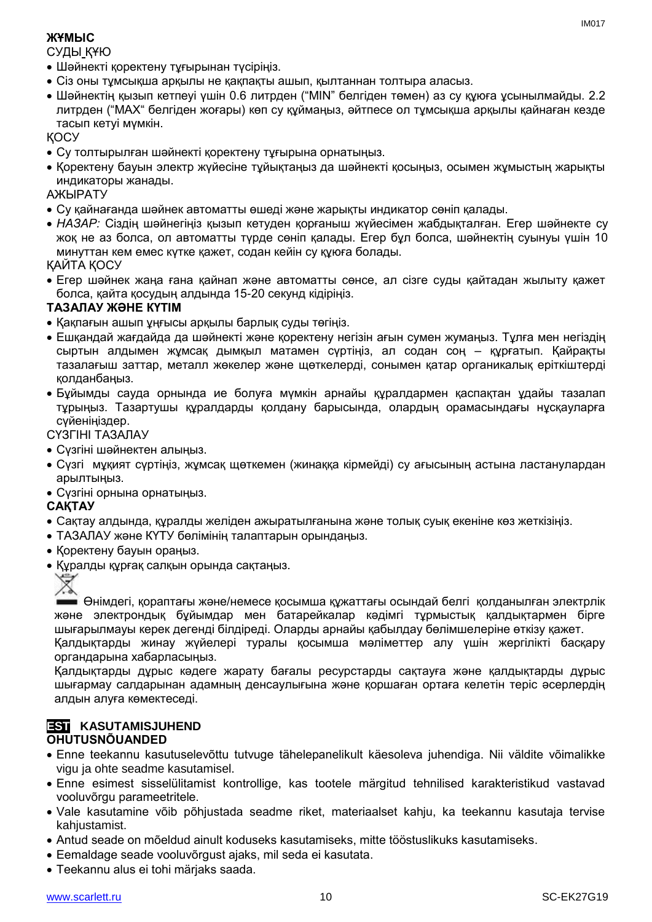#### **ЖҰМЫС**

СУДЫ ҚҰЮ

- Шәйнекті қоректену тұғырынан түсіріңіз.
- Сіз оны тұмсықша арқылы не қақпақты ашып, қылтаннан толтыра алаcыз.
- Шәйнектің қызып кетпеуі үшін 0.6 литрден ("MIN" белгіден төмен) аз су құюға ұсынылмайды. 2.2 литрден ("MAX" белгіден жоғары) көп су құймаңыз, әйтпесе ол тұмсықша арқылы қайнаған кезде тасып кетуі мүмкін.

ҚОСУ

- Су толтырылған шәйнекті қоректену тұғырына орнатыңыз.
- Қоректену бауын электр жүйесіне тұйықтаңыз да шәйнекті қосыңыз, осымен жұмыстың жарықты индикаторы жанады.

АЖЫРАТУ

- Су қайнағанда шәйнек автоматты өшеді және жарықты индикатор сөніп қалады.
- *НАЗАР:* Сіздің шәйнегіңіз қызып кетуден қорғаныш жүйесімен жабдықталған. Егер шәйнекте су жоқ не аз болса, ол автоматты түрде сөніп қалады. Егер бұл болса, шәйнектің суынуы үшін 10 минуттан кем емес күтке қажет, содан кейін су құюға болады.

ҚАЙТА ҚОСУ

 Егер шәйнек жаңа ғана қайнап және автоматты сөнсе, ал сізге суды қайтадан жылыту қажет болса, қайта қосудың алдында 15-20 секунд кідіріңіз.

#### **ТАЗАЛАУ ЖӘНЕ КҮТІМ**

- Қақпағын ашып ұңғысы арқылы барлық суды төгіңіз.
- Ешқандай жағдайда да шәйнекті және қоректену негізін ағын сумен жумаңыз. Тұлға мен негіздің сыртын алдымен жұмсақ дымқыл матамен сүртіңіз, ал содан соң – құрғатып. Қайрақты тазалағыш заттар, металл жөкелер және щөткелерді, сонымен қатар органикалық еріткіштерді қолданбаңыз.
- Бұйымды сауда орнында ие болуға мүмкін арнайы құралдармен қаспақтан ұдайы тазалап тұрыңыз. Тазартушы құралдарды қолдану барысында, олардың орамасындағы нұсқауларға сүйеніңіздер.

#### СҮЗГІНІ ТАЗАЛАУ

- Сүзгіні шәйнектен алыңыз.
- Сүзгі мұқият сүртіңіз, жұмсақ щөткемен (жинаққа кірмейді) су ағысының астына ластанулардан арылтыңыз.
- Сүзгіні орнына орнатыңыз.

#### **САҚТАУ**

- Cақтау алдында, құралды желіден ажыратылғанына және толық суық екеніне көз жеткізіңіз.
- ТАЗАЛАУ және КҮТУ бөлімінің талаптарын орындаңыз.
- Қоректену бауын ораңыз.
- Құралды құрғақ салқын орында сақтаңыз.



Өнімдегі, қораптағы және/немесе қосымша құжаттағы осындай белгі қолданылған электрлік және электрондық бұйымдар мен батарейкалар кәдімгі тұрмыстық қалдықтармен бірге шығарылмауы керек дегенді білдіреді. Оларды арнайы қабылдау бөлімшелеріне өткізу қажет.

Қалдықтарды жинау жүйелері туралы қосымша мәліметтер алу үшін жергілікті басқару органдарына хабарласыңыз.

Қалдықтарды дұрыс кәдеге жарату бағалы ресурстарды сақтауға және қалдықтарды дұрыс шығармау салдарынан адамның денсаулығына және қоршаған ортаға келетін теріс әсерлердің алдын алуға көмектеседі.

#### **EST KASUTAMISJUHEND OHUTUSNÕUANDED**

- Enne teekannu kasutuselevõttu tutvuge tähelepanelikult käesoleva juhendiga. Nii väldite võimalikke vigu ja ohte seadme kasutamisel.
- Enne esimest sisselülitamist kontrollige, kas tootele märgitud tehnilised karakteristikud vastavad vooluvõrgu parameetritele.
- Vale kasutamine võib põhjustada seadme riket, materiaalset kahju, ka teekannu kasutaja tervise kahjustamist.
- Antud seade on mõeldud ainult koduseks kasutamiseks, mitte tööstuslikuks kasutamiseks.
- Eemaldage seade vooluvõrgust ajaks, mil seda ei kasutata.
- Teekannu alus ei tohi märjaks saada.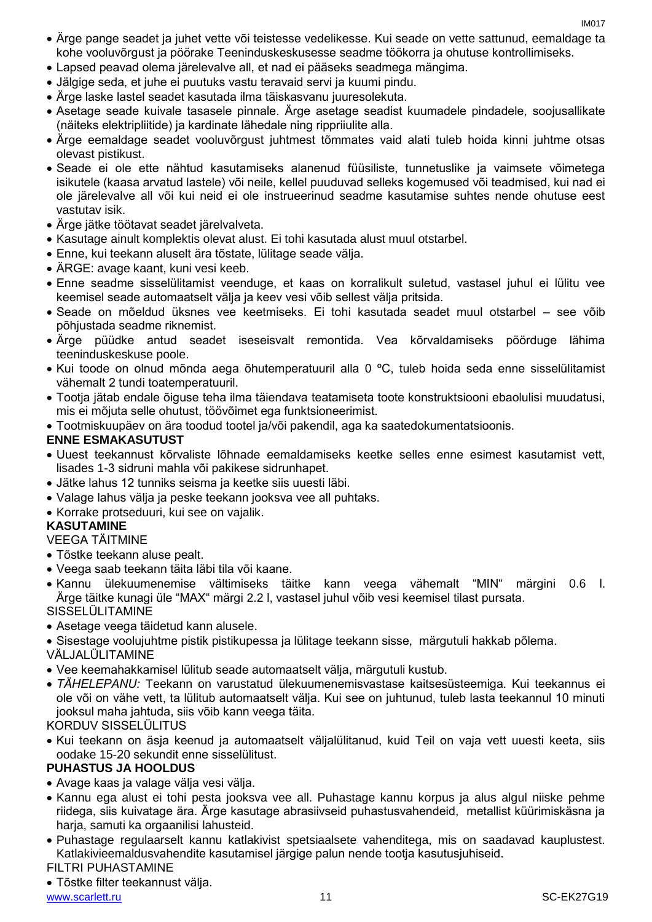- Ärge pange seadet ja juhet vette või teistesse vedelikesse. Kui seade on vette sattunud, eemaldage ta kohe vooluvõrgust ja pöörake Teeninduskeskusesse seadme töökorra ja ohutuse kontrollimiseks.
- Lapsed peavad olema järelevalve all, et nad ei pääseks seadmega mängima.
- Jälgige seda, et juhe ei puutuks vastu teravaid servi ja kuumi pindu.
- Ärge laske lastel seadet kasutada ilma täiskasvanu juuresolekuta.
- Asetage seade kuivale tasasele pinnale. Ärge asetage seadist kuumadele pindadele, soojusallikate (näiteks elektripliitide) ja kardinate lähedale ning rippriiulite alla.
- Ärge eemaldage seadet vooluvõrgust juhtmest tõmmates vaid alati tuleb hoida kinni juhtme otsas olevast pistikust.
- Seade ei ole ette nähtud kasutamiseks alanenud füüsiliste, tunnetuslike ja vaimsete võimetega isikutele (kaasa arvatud lastele) või neile, kellel puuduvad selleks kogemused või teadmised, kui nad ei ole järelevalve all või kui neid ei ole instrueerinud seadme kasutamise suhtes nende ohutuse eest vastutav isik.
- Ärge jätke töötavat seadet järelvalveta.
- Kasutage ainult komplektis olevat alust. Ei tohi kasutada alust muul otstarbel.
- Enne, kui teekann aluselt ära tõstate, lülitage seade välja.
- ÄRGE: avage kaant, kuni vesi keeb.
- Enne seadme sisselülitamist veenduge, et kaas on korralikult suletud, vastasel juhul ei lülitu vee keemisel seade automaatselt välja ja keev vesi võib sellest välja pritsida.
- Seade on mõeldud üksnes vee keetmiseks. Ei tohi kasutada seadet muul otstarbel see võib põhjustada seadme riknemist.
- Ärge püüdke antud seadet iseseisvalt remontida. Vea kõrvaldamiseks pöörduge lähima teeninduskeskuse poole.
- Kui toode on olnud mõnda aega õhutemperatuuril alla 0 ºC, tuleb hoida seda enne sisselülitamist vähemalt 2 tundi toatemperatuuril.
- Tootja jätab endale õiguse teha ilma täiendava teatamiseta toote konstruktsiooni ebaolulisi muudatusi, mis ei mõjuta selle ohutust, töövõimet ega funktsioneerimist.
- Tootmiskuupäev on ära toodud tootel ja/või pakendil, aga ka saatedokumentatsioonis.

#### **ENNE ESMAKASUTUST**

- Uuest teekannust kõrvaliste lõhnade eemaldamiseks keetke selles enne esimest kasutamist vett, lisades 1-3 sidruni mahla või pakikese sidrunhapet.
- Jätke lahus 12 tunniks seisma ja keetke siis uuesti läbi.
- Valage lahus välja ja peske teekann jooksva vee all puhtaks.
- Korrake protseduuri, kui see on vajalik.

#### **KASUTAMINE**

VEEGA TÄITMINE

- Tõstke teekann aluse pealt.
- Veega saab teekann täita läbi tila või kaane.
- Kannu ülekuumenemise vältimiseks täitke kann veega vähemalt "MIN" märgini 0.6 l. Ärge täitke kunagi üle "MAX" märgi 2.2 l, vastasel juhul võib vesi keemisel tilast pursata.
- SISSELÜLITAMINE
- Asetage veega täidetud kann alusele.
- Sisestage voolujuhtme pistik pistikupessa ja lülitage teekann sisse, märgutuli hakkab põlema.

VÄLJALÜLITAMINE

- Vee keemahakkamisel lülitub seade automaatselt välja, märgutuli kustub.
- *TÄHELEPANU:* Teekann on varustatud ülekuumenemisvastase kaitsesüsteemiga. Kui teekannus ei ole või on vähe vett, ta lülitub automaatselt välja. Kui see on juhtunud, tuleb lasta teekannul 10 minuti jooksul maha jahtuda, siis võib kann veega täita.

KORDUV SISSELÜLITUS

 Kui teekann on äsja keenud ja automaatselt väljalülitanud, kuid Teil on vaja vett uuesti keeta, siis oodake 15-20 sekundit enne sisselülitust.

#### **PUHASTUS JA HOOLDUS**

- Avage kaas ja valage välja vesi välja.
- Kannu ega alust ei tohi pesta jooksva vee all. Puhastage kannu korpus ja alus algul niiske pehme riidega, siis kuivatage ära. Ärge kasutage abrasiivseid puhastusvahendeid, metallist küürimiskäsna ja harja, samuti ka orgaanilisi lahusteid.
- Puhastage regulaarselt kannu katlakivist spetsiaalsete vahenditega, mis on saadavad kauplustest. Katlakivieemaldusvahendite kasutamisel järgige palun nende tootja kasutusjuhiseid. FILTRI PUHASTAMINE

### Tõstke filter teekannust välja.

www.scarlett.ru 11 November 2021 11 November 2021 12 November 2021 12 November 2022 11 November 2022 12 November 2022 12 November 2022 12 November 2022 12 November 2022 12 November 2022 12 November 2022 12 November 2022 12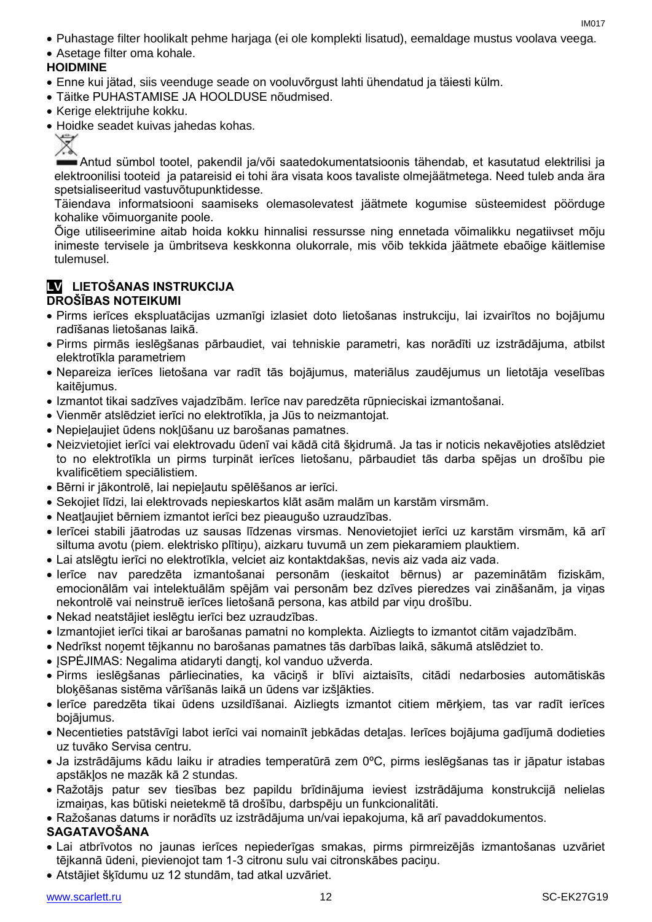- Puhastage filter hoolikalt pehme harjaga (ei ole komplekti lisatud), eemaldage mustus voolava veega.
- Asetage filter oma kohale.

#### **HOIDMINE**

- Enne kui jätad, siis veenduge seade on vooluvõrgust lahti ühendatud ja täiesti külm.
- Täitke PUHASTAMISE JA HOOLDUSE nõudmised.
- Kerige elektrijuhe kokku.
- Hoidke seadet kuivas jahedas kohas.

Antud sümbol tootel, pakendil ja/või saatedokumentatsioonis tähendab, et kasutatud elektrilisi ja elektroonilisi tooteid ja patareisid ei tohi ära visata koos tavaliste olmejäätmetega. Need tuleb anda ära spetsialiseeritud vastuvõtupunktidesse.

Täiendava informatsiooni saamiseks olemasolevatest jäätmete kogumise süsteemidest pöörduge kohalike võimuorganite poole.

Õige utiliseerimine aitab hoida kokku hinnalisi ressursse ning ennetada võimalikku negatiivset mõju inimeste tervisele ja ümbritseva keskkonna olukorrale, mis võib tekkida jäätmete ebaõige käitlemise tulemusel.

#### **LV LIETOŠANAS INSTRUKCIJA DROŠĪBAS NOTEIKUMI**

- Pirms ierīces ekspluatācijas uzmanīgi izlasiet doto lietošanas instrukciju, lai izvairītos no bojājumu radīšanas lietošanas laikā.
- Pirms pirmās ieslēgšanas pārbaudiet, vai tehniskie parametri, kas norādīti uz izstrādājuma, atbilst elektrotīkla parametriem
- Nepareiza ierīces lietošana var radīt tās bojājumus, materiālus zaudējumus un lietotāja veselības kaitējumus.
- Izmantot tikai sadzīves vajadzībām. Ierīce nav paredzēta rūpnieciskai izmantošanai.
- Vienmēr atslēdziet ierīci no elektrotīkla, ja Jūs to neizmantojat.
- Nepieļaujiet ūdens nokļūšanu uz barošanas pamatnes.
- Neizvietojiet ierīci vai elektrovadu ūdenī vai kādā citā šķidrumā. Ja tas ir noticis nekavējoties atslēdziet to no elektrotīkla un pirms turpināt ierīces lietošanu, pārbaudiet tās darba spējas un drošību pie kvalificētiem speciālistiem.
- Bērni ir jākontrolē, lai nepieļautu spēlēšanos ar ierīci.
- Sekojiet līdzi, lai elektrovads nepieskartos klāt asām malām un karstām virsmām.
- Neatļaujiet bērniem izmantot ierīci bez pieaugušo uzraudzības.
- Ierīcei stabili jāatrodas uz sausas līdzenas virsmas. Nenovietojiet ierīci uz karstām virsmām, kā arī siltuma avotu (piem. elektrisko plītiņu), aizkaru tuvumā un zem piekaramiem plauktiem.
- Lai atslēgtu ierīci no elektrotīkla, velciet aiz kontaktdakšas, nevis aiz vada aiz vada.
- Ierīce nav paredzēta izmantošanai personām (ieskaitot bērnus) ar pazeminātām fiziskām, emocionālām vai intelektuālām spējām vai personām bez dzīves pieredzes vai zināšanām, ja viņas nekontrolē vai neinstruē ierīces lietošanā persona, kas atbild par viņu drošību.
- Nekad neatstājiet ieslēgtu ierīci bez uzraudzības.
- Izmantojiet ierīci tikai ar barošanas pamatni no komplekta. Aizliegts to izmantot citām vajadzībām.
- Nedrīkst noņemt tējkannu no barošanas pamatnes tās darbības laikā, sākumā atslēdziet to.
- ISPĖJIMAS: Negalima atidaryti dangti, kol vanduo užverda.
- Pirms ieslēgšanas pārliecinaties, ka vāciņš ir blīvi aiztaisīts, citādi nedarbosies automātiskās bloķēšanas sistēma vārīšanās laikā un ūdens var izšļākties.
- Ierīce paredzēta tikai ūdens uzsildīšanai. Aizliegts izmantot citiem mērķiem, tas var radīt ierīces bojājumus.
- Necentieties patstāvīgi labot ierīci vai nomainīt jebkādas detaļas. Ierīces bojājuma gadījumā dodieties uz tuvāko Servisa centru.
- Ja izstrādājums kādu laiku ir atradies temperatūrā zem 0ºC, pirms ieslēgšanas tas ir jāpatur istabas apstākļos ne mazāk kā 2 stundas.
- Ražotājs patur sev tiesības bez papildu brīdinājuma ieviest izstrādājuma konstrukcijā nelielas izmaiņas, kas būtiski neietekmē tā drošību, darbspēju un funkcionalitāti.
- Ražošanas datums ir norādīts uz izstrādājuma un/vai iepakojuma, kā arī pavaddokumentos.

#### **SAGATAVOŠANA**

- Lai atbrīvotos no jaunas ierīces nepiederīgas smakas, pirms pirmreizējās izmantošanas uzvāriet tējkannā ūdeni, pievienojot tam 1-3 citronu sulu vai citronskābes paciņu.
- Atstājiet šķīdumu uz 12 stundām, tad atkal uzvāriet.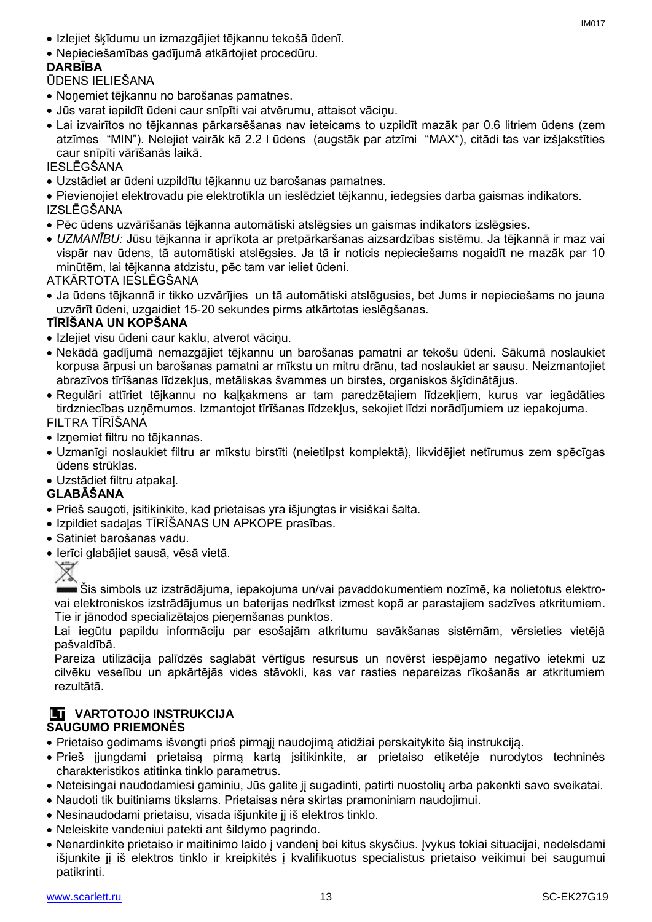- Izlejiet šķīdumu un izmazgājiet tējkannu tekošā ūdenī.
- Nepieciešamības gadījumā atkārtojiet procedūru.

#### **DARBĪBA**

ŪDENS IELIEŠANA

- Noņemiet tējkannu no barošanas pamatnes.
- Jūs varat iepildīt ūdeni caur snīpīti vai atvērumu, attaisot vāciņu.
- Lai izvairītos no tējkannas pārkarsēšanas nav ieteicams to uzpildīt mazāk par 0.6 litriem ūdens (zem atzīmes "MIN"). Nelejiet vairāk kā 2.2 l ūdens (augstāk par atzīmi "MAX"), citādi tas var izšļakstīties caur snīpīti vārīšanās laikā.

IESLĒGŠANA

- Uzstādiet ar ūdeni uzpildītu tējkannu uz barošanas pamatnes.
- Pievienojiet elektrovadu pie elektrotīkla un ieslēdziet tējkannu, iedegsies darba gaismas indikators. IZSLĒGŠANA
- Pēc ūdens uzvārīšanās tējkanna automātiski atslēgsies un gaismas indikators izslēgsies.
- *UZMANĪBU:* Jūsu tējkanna ir aprīkota ar pretpārkaršanas aizsardzības sistēmu. Ja tējkannā ir maz vai vispār nav ūdens, tā automātiski atslēgsies. Ja tā ir noticis nepieciešams nogaidīt ne mazāk par 10 minūtēm, lai tējkanna atdzistu, pēc tam var ieliet ūdeni.

ATKĀRTOTA IESLĒGŠANA

 Ja ūdens tējkannā ir tikko uzvārījies un tā automātiski atslēgusies, bet Jums ir nepieciešams no jauna uzvārīt ūdeni, uzgaidiet 15-20 sekundes pirms atkārtotas ieslēgšanas.

#### **TĪRĪŠANA UN KOPŠANA**

- Izlejiet visu ūdeni caur kaklu, atverot vāciņu.
- Nekādā gadījumā nemazgājiet tējkannu un barošanas pamatni ar tekošu ūdeni. Sākumā noslaukiet korpusa ārpusi un barošanas pamatni ar mīkstu un mitru drānu, tad noslaukiet ar sausu. Neizmantojiet abrazīvos tīrīšanas līdzekļus, metāliskas švammes un birstes, organiskos šķīdinātājus.
- Regulāri attīriet tējkannu no kaļķakmens ar tam paredzētajiem līdzekļiem, kurus var iegādāties tirdzniecības uzņēmumos. Izmantojot tīrīšanas līdzekļus, sekojiet līdzi norādījumiem uz iepakojuma. FILTRA TĪRĪŠANA
- Izņemiet filtru no tējkannas.
- Uzmanīgi noslaukiet filtru ar mīkstu birstīti (neietilpst komplektā), likvidējiet netīrumus zem spēcīgas ūdens strūklas.
- Uzstādiet filtru atpakaļ.

#### **GLABĀŠANA**

- Prieš saugoti, įsitikinkite, kad prietaisas yra išjungtas ir visiškai šalta.
- Izpildiet sadaļas TĪRĪŠANAS UN APKOPE prasības.
- Satiniet barošanas vadu.
- Ierīci glabājiet sausā, vēsā vietā.



Šis simbols uz izstrādājuma, iepakojuma un/vai pavaddokumentiem nozīmē, ka nolietotus elektrovai elektroniskos izstrādājumus un baterijas nedrīkst izmest kopā ar parastajiem sadzīves atkritumiem. Tie ir jānodod specializētajos pieņemšanas punktos.

Lai iegūtu papildu informāciju par esošajām atkritumu savākšanas sistēmām, vērsieties vietējā pašvaldībā.

Pareiza utilizācija palīdzēs saglabāt vērtīgus resursus un novērst iespējamo negatīvo ietekmi uz cilvēku veselību un apkārtējās vides stāvokli, kas var rasties nepareizas rīkošanās ar atkritumiem rezultātā.

#### **LT VARTOTOJO INSTRUKCIJA SAUGUMO PRIEMONĖS**

- Prietaiso gedimams išvengti prieš pirmąjį naudojimą atidžiai perskaitykite šią instrukciją.
- Prieš įjungdami prietaisą pirmą kartą įsitikinkite, ar prietaiso etiketėje nurodytos techninės charakteristikos atitinka tinklo parametrus.
- Neteisingai naudodamiesi gaminiu, Jūs galite jį sugadinti, patirti nuostolių arba pakenkti savo sveikatai.
- Naudoti tik buitiniams tikslams. Prietaisas nėra skirtas pramoniniam naudojimui.
- Nesinaudodami prietaisu, visada išjunkite jį iš elektros tinklo.
- Neleiskite vandeniui patekti ant šildymo pagrindo.
- Nenardinkite prietaiso ir maitinimo laido į vandenį bei kitus skysčius. Įvykus tokiai situacijai, nedelsdami išjunkite jį iš elektros tinklo ir kreipkitės į kvalifikuotus specialistus prietaiso veikimui bei saugumui patikrinti.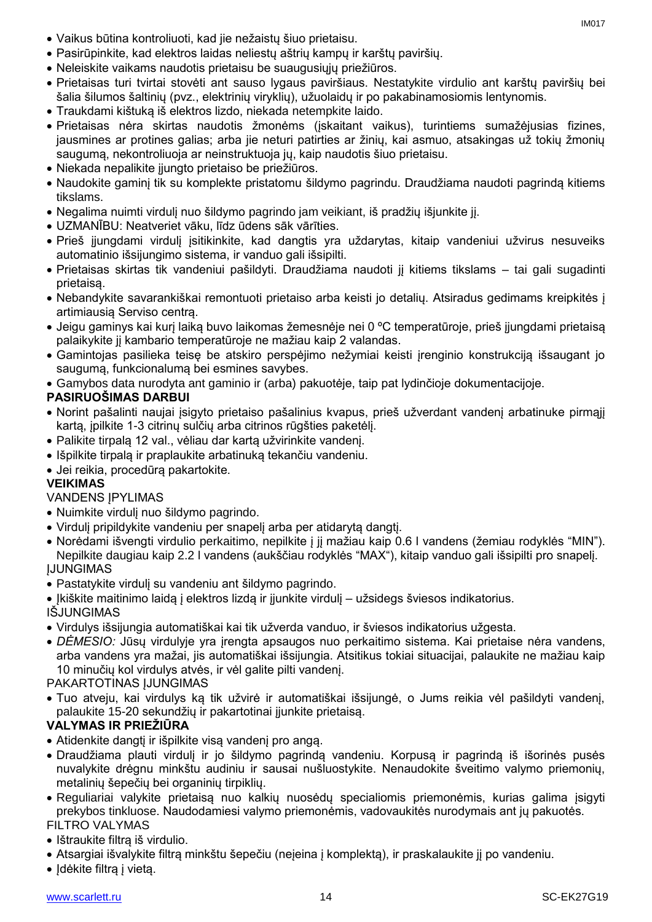- Vaikus būtina kontroliuoti, kad jie nežaistų šiuo prietaisu.
- Pasirūpinkite, kad elektros laidas neliestų aštrių kampų ir karštų paviršių.
- Neleiskite vaikams naudotis prietaisu be suaugusiųjų priežiūros.
- Prietaisas turi tvirtai stovėti ant sauso lygaus paviršiaus. Nestatykite virdulio ant karštų paviršių bei šalia šilumos šaltinių (pvz., elektrinių viryklių), užuolaidų ir po pakabinamosiomis lentynomis.
- Traukdami kištuką iš elektros lizdo, niekada netempkite laido.
- Prietaisas nėra skirtas naudotis žmonėms (įskaitant vaikus), turintiems sumažėjusias fizines, jausmines ar protines galias; arba jie neturi patirties ar žinių, kai asmuo, atsakingas už tokių žmonių saugumą, nekontroliuoja ar neinstruktuoja jų, kaip naudotis šiuo prietaisu.
- Niekada nepalikite įjungto prietaiso be priežiūros.
- Naudokite gaminį tik su komplekte pristatomu šildymo pagrindu. Draudžiama naudoti pagrindą kitiems tikslams.
- Negalima nuimti virdulį nuo šildymo pagrindo jam veikiant, iš pradžių išjunkite jį.
- UZMANĪBU: Neatveriet vāku, līdz ūdens sāk vārīties.
- Prieš įjungdami virdulį įsitikinkite, kad dangtis yra uždarytas, kitaip vandeniui užvirus nesuveiks automatinio išsijungimo sistema, ir vanduo gali išsipilti.
- Prietaisas skirtas tik vandeniui pašildyti. Draudžiama naudoti jį kitiems tikslams tai gali sugadinti prietaisą.
- Nebandykite savarankiškai remontuoti prietaiso arba keisti jo detalių. Atsiradus gedimams kreipkitės į artimiausią Serviso centrą.
- Jeigu gaminys kai kurį laiką buvo laikomas žemesnėje nei 0 ºC temperatūroje, prieš įjungdami prietaisą palaikykite jį kambario temperatūroje ne mažiau kaip 2 valandas.
- Gamintojas pasilieka teisę be atskiro perspėjimo nežymiai keisti įrenginio konstrukciją išsaugant jo saugumą, funkcionalumą bei esmines savybes.
- Gamybos data nurodyta ant gaminio ir (arba) pakuotėje, taip pat lydinčioje dokumentacijoje.

#### **PASIRUOŠIMAS DARBUI**

- Norint pašalinti naujai įsigyto prietaiso pašalinius kvapus, prieš užverdant vandenį arbatinuke pirmąjį kartą, įpilkite 1-3 citrinų sulčių arba citrinos rūgšties paketėlį.
- Palikite tirpalą 12 val., vėliau dar kartą užvirinkite vandenį.
- Išpilkite tirpalą ir praplaukite arbatinuką tekančiu vandeniu.
- Jei reikia, procedūrą pakartokite.

#### **VEIKIMAS**

#### VANDENS ĮPYLIMAS

- Nuimkite virdulį nuo šildymo pagrindo.
- Virdulį pripildykite vandeniu per snapelį arba per atidarytą dangtį.
- Norėdami išvengti virdulio perkaitimo, nepilkite į jį mažiau kaip 0.6 l vandens (žemiau rodyklės "MIN"). Nepilkite daugiau kaip 2.2 l vandens (aukščiau rodyklės "MAX"), kitaip vanduo gali išsipilti pro snapelį. ĮJUNGIMAS
- Pastatykite virdulį su vandeniu ant šildymo pagrindo.

Įkiškite maitinimo laidą į elektros lizdą ir įjunkite virdulį – užsidegs šviesos indikatorius.

IŠJUNGIMAS

- Virdulys išsijungia automatiškai kai tik užverda vanduo, ir šviesos indikatorius užgesta.
- *DĖMESIO:* Jūsų virdulyje yra įrengta apsaugos nuo perkaitimo sistema. Kai prietaise nėra vandens, arba vandens yra mažai, jis automatiškai išsijungia. Atsitikus tokiai situacijai, palaukite ne mažiau kaip 10 minučių kol virdulys atvės, ir vėl galite pilti vandenį.

PAKARTOTINAS ĮJUNGIMAS

 Tuo atveju, kai virdulys ką tik užvirė ir automatiškai išsijungė, o Jums reikia vėl pašildyti vandenį, palaukite 15-20 sekundžių ir pakartotinai įjunkite prietaisą.

#### **VALYMAS IR PRIEŽIŪRA**

- Atidenkite dangtį ir išpilkite visą vandenį pro angą.
- Draudžiama plauti virdulį ir jo šildymo pagrindą vandeniu. Korpusą ir pagrindą iš išorinės pusės nuvalykite drėgnu minkštu audiniu ir sausai nušluostykite. Nenaudokite šveitimo valymo priemonių, metalinių šepečių bei organinių tirpiklių.
- Reguliariai valykite prietaisą nuo kalkių nuosėdų specialiomis priemonėmis, kurias galima įsigyti prekybos tinkluose. Naudodamiesi valymo priemonėmis, vadovaukitės nurodymais ant jų pakuotės.

#### FILTRO VALYMAS

- Ištraukite filtra iš virdulio.
- Atsargiai išvalykite filtrą minkštu šepečiu (neįeina į komplektą), ir praskalaukite jį po vandeniu.
- Idėkite filtrą į vietą.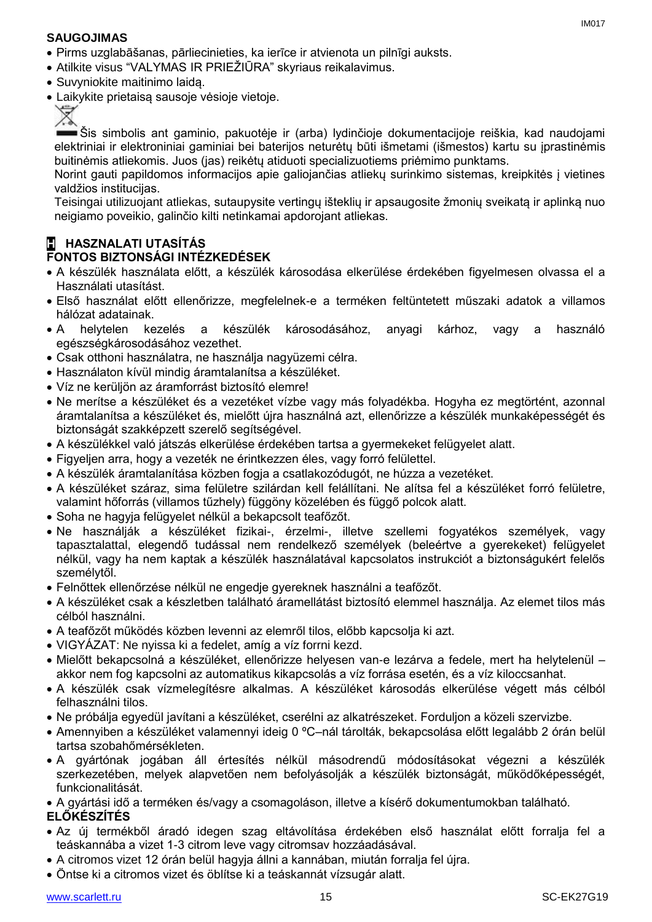#### **SAUGOJIMAS**

- Pirms uzglabāšanas, pārliecinieties, ka ierīce ir atvienota un pilnīgi auksts.
- Atilkite visus "VALYMAS IR PRIEŽIŪRA" skyriaus reikalavimus.
- Suvyniokite maitinimo laidą.
- Laikykite prietaisą sausoje vėsioje vietoje.



Šis simbolis ant gaminio, pakuotėje ir (arba) lydinčioje dokumentacijoje reiškia, kad naudojami elektriniai ir elektroniniai gaminiai bei baterijos neturėtų būti išmetami (išmestos) kartu su įprastinėmis buitinėmis atliekomis. Juos (jas) reikėtų atiduoti specializuotiems priėmimo punktams.

Norint gauti papildomos informacijos apie galiojančias atliekų surinkimo sistemas, kreipkitės į vietines valdžios institucijas.

Teisingai utilizuojant atliekas, sutaupysite vertingų išteklių ir apsaugosite žmonių sveikatą ir aplinką nuo neigiamo poveikio, galinčio kilti netinkamai apdorojant atliekas.

### **H HASZNALATI UTASÍTÁS**

#### **FONTOS BIZTONSÁGI INTÉZKEDÉSEK**

- A készülék használata előtt, a készülék károsodása elkerülése érdekében figyelmesen olvassa el a Használati utasítást.
- Első használat előtt ellenőrizze, megfelelnek-e a terméken feltüntetett műszaki adatok a villamos hálózat adatainak.
- A helytelen kezelés a készülék károsodásához, anyagi kárhoz, vagy a használó egészségkárosodásához vezethet.
- Csak otthoni használatra, ne használja nagyüzemi célra.
- Használaton kívül mindig áramtalanítsa a készüléket.
- Víz ne kerüljön az áramforrást biztosító elemre!
- Ne merítse a készüléket és a vezetéket vízbe vagy más folyadékba. Hogyha ez megtörtént, azonnal áramtalanítsa a készüléket és, mielőtt újra használná azt, ellenőrizze a készülék munkaképességét és biztonságát szakképzett szerelő segítségével.
- A készülékkel való játszás elkerülése érdekében tartsa a gyermekeket felügyelet alatt.
- Figyeljen arra, hogy a vezeték ne érintkezzen éles, vagy forró felülettel.
- A készülék áramtalanítása közben fogja a csatlakozódugót, ne húzza a vezetéket.
- A készüléket száraz, sima felületre szilárdan kell felállítani. Ne alítsa fel a készüléket forró felületre, valamint hőforrás (villamos tűzhely) függöny közelében és függő polcok alatt.
- Soha ne hagyja felügyelet nélkül a bekapcsolt teafőzőt.
- Ne használják a készüléket fizikai-, érzelmi-, illetve szellemi fogyatékos személyek, vagy tapasztalattal, elegendő tudással nem rendelkező személyek (beleértve a gyerekeket) felügyelet nélkül, vagy ha nem kaptak a készülék használatával kapcsolatos instrukciót a biztonságukért felelős személytől.
- Felnőttek ellenőrzése nélkül ne engedje gyereknek használni a teafőzőt.
- A készüléket csak a készletben található áramellátást biztosító elemmel használja. Az elemet tilos más célból használni.
- A teafőzőt működés közben levenni az elemről tilos, előbb kapcsolja ki azt.
- VIGYÁZAT: Ne nyissa ki a fedelet, amíg a víz forrni kezd.
- Mielőtt bekapcsolná a készüléket, ellenőrizze helyesen van-e lezárva a fedele, mert ha helytelenül akkor nem fog kapcsolni az automatikus kikapcsolás a víz forrása esetén, és a víz kiloccsanhat.
- A készülék csak vízmelegítésre alkalmas. A készüléket károsodás elkerülése végett más célból felhasználni tilos.
- Ne próbálja egyedül javítani a készüléket, cserélni az alkatrészeket. Forduljon a közeli szervizbe.
- Amennyiben a készüléket valamennyi ideig 0 ºC–nál tárolták, bekapcsolása előtt legalább 2 órán belül tartsa szobahőmérsékleten.
- A gyártónak jogában áll értesítés nélkül másodrendű módosításokat végezni a készülék szerkezetében, melyek alapvetően nem befolyásolják a készülék biztonságát, működőképességét, funkcionalitását.
- A gyártási idő a terméken és/vagy a csomagoláson, illetve a kísérő dokumentumokban található.

#### **ELŐKÉSZÍTÉS**

- Az új termékből áradó idegen szag eltávolítása érdekében első használat előtt forralja fel a teáskannába a vizet 1-3 citrom leve vagy citromsav hozzáadásával.
- A citromos vizet 12 órán belül hagyja állni a kannában, miután forralja fel újra.
- Öntse ki a citromos vizet és öblítse ki a teáskannát vízsugár alatt.

IM017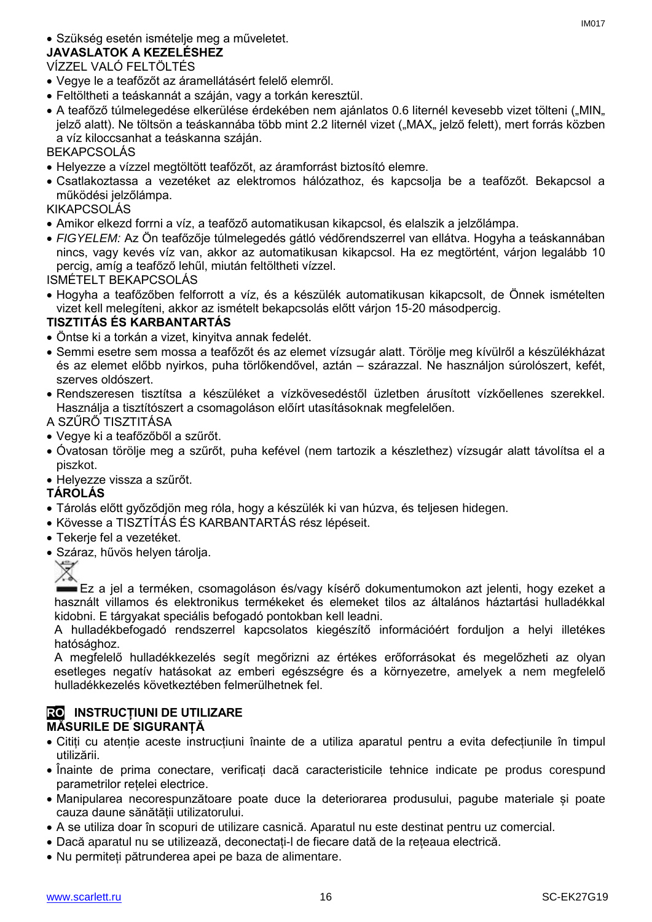#### Szükség esetén ismételje meg a műveletet.

#### **JAVASLATOK A KEZELÉSHEZ**

#### VÍZZEL VALÓ FELTÖLTÉS

- Vegye le a teafőzőt az áramellátásért felelő elemről.
- Feltöltheti a teáskannát a száján, vagy a torkán keresztül.
- A teafőző túlmelegedése elkerülése érdekében nem ajánlatos 0.6 liternél kevesebb vizet tölteni ("MIN" jelző alatt). Ne töltsön a teáskannába több mint 2.2 liternél vizet ("MAX" jelző felett), mert forrás közben a víz kiloccsanhat a teáskanna száján.

BEKAPCSOLÁS

- Helyezze a vízzel megtöltött teafőzőt, az áramforrást biztosító elemre.
- Csatlakoztassa a vezetéket az elektromos hálózathoz, és kapcsolja be a teafőzőt. Bekapcsol a működési jelzőlámpa.

KIKAPCSOLÁS

- Amikor elkezd forrni a víz, a teafőző automatikusan kikapcsol, és elalszik a jelzőlámpa.
- *FIGYELEM:* Az Ön teafőzője túlmelegedés gátló védőrendszerrel van ellátva. Hogyha a teáskannában nincs, vagy kevés víz van, akkor az automatikusan kikapcsol. Ha ez megtörtént, várjon legalább 10 percig, amíg a teafőző lehűl, miután feltöltheti vízzel.

ISMÉTELT BEKAPCSOLÁS

 Hogyha a teafőzőben felforrott a víz, és a készülék automatikusan kikapcsolt, de Önnek ismételten vizet kell melegíteni, akkor az ismételt bekapcsolás előtt várjon 15-20 másodpercig.

#### **TISZTITÁS ÉS KARBANTARTÁS**

- Öntse ki a torkán a vizet, kinyitva annak fedelét.
- Semmi esetre sem mossa a teafőzőt és az elemet vízsugár alatt. Törölje meg kívülről a készülékházat és az elemet előbb nyirkos, puha törlőkendővel, aztán – szárazzal. Ne használjon súrolószert, kefét, szerves oldószert.
- Rendszeresen tisztítsa a készüléket a vízkövesedéstől üzletben árusított vízkőellenes szerekkel. Használja a tisztítószert a csomagoláson előírt utasításoknak megfelelően.
- A SZŰRŐ TISZTITÁSA
- Vegye ki a teafőzőből a szűrőt.
- Óvatosan törölje meg a szűrőt, puha kefével (nem tartozik a készlethez) vízsugár alatt távolítsa el a piszkot.
- Helyezze vissza a szűrőt.

#### **TÁROLÁS**

- Tárolás előtt győződjön meg róla, hogy a készülék ki van húzva, és teljesen hidegen.
- Kövesse a TISZTÍTÁS ÉS KARBANTARTÁS rész lépéseit.
- Tekerje fel a vezetéket.
- Száraz, hűvös helyen tárolja.



Ez a jel a terméken, csomagoláson és/vagy kísérő dokumentumokon azt jelenti, hogy ezeket a használt villamos és elektronikus termékeket és elemeket tilos az általános háztartási hulladékkal kidobni. E tárgyakat speciális befogadó pontokban kell leadni.

A hulladékbefogadó rendszerrel kapcsolatos kiegészítő információért forduljon a helyi illetékes hatósághoz.

A megfelelő hulladékkezelés segít megőrizni az értékes erőforrásokat és megelőzheti az olyan esetleges negatív hatásokat az emberi egészségre és a környezetre, amelyek a nem megfelelő hulladékkezelés következtében felmerülhetnek fel.

#### **RO INSTRUCȚIUNI DE UTILIZARE MĂSURILE DE SIGURANȚĂ**

- Citiți cu atenție aceste instrucțiuni înainte de a utiliza aparatul pentru a evita defecțiunile în timpul utilizării.
- Înainte de prima conectare, verificați dacă caracteristicile tehnice indicate pe produs corespund parametrilor rețelei electrice.
- Manipularea necorespunzătoare poate duce la deteriorarea produsului, pagube materiale și poate cauza daune sănătății utilizatorului.
- A se utiliza doar în scopuri de utilizare casnică. Aparatul nu este destinat pentru uz comercial.
- Dacă aparatul nu se utilizează, deconectați-l de fiecare dată de la rețeaua electrică.
- Nu permiteți pătrunderea apei pe baza de alimentare.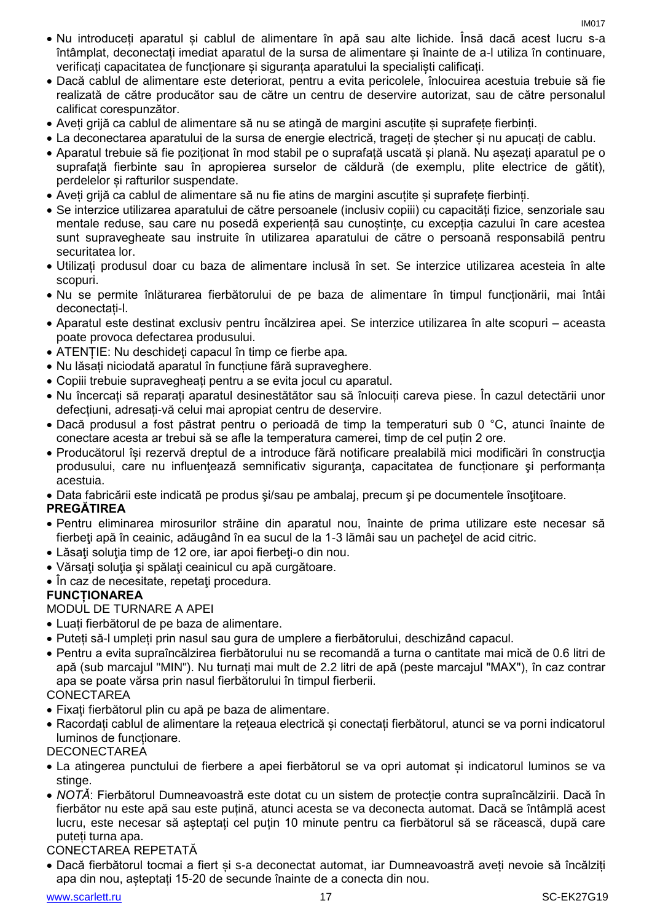- Nu introduceți aparatul și cablul de alimentare în apă sau alte lichide. Însă dacă acest lucru s-a întâmplat, deconectați imediat aparatul de la sursa de alimentare și înainte de a-l utiliza în continuare, verificați capacitatea de funcționare și siguranța aparatului la specialiști calificați.
- Dacă cablul de alimentare este deteriorat, pentru a evita pericolele, înlocuirea acestuia trebuie să fie realizată de către producător sau de către un centru de deservire autorizat, sau de către personalul calificat corespunzător.
- Aveți grijă ca cablul de alimentare să nu se atingă de margini ascuțite și suprafețe fierbinți.
- La deconectarea aparatului de la sursa de energie electrică, trageți de ștecher și nu apucați de cablu.
- Aparatul trebuie să fie poziționat în mod stabil pe o suprafață uscată și plană. Nu așezați aparatul pe o suprafață fierbinte sau în apropierea surselor de căldură (de exemplu, plite electrice de gătit), perdelelor și rafturilor suspendate.
- Aveți grijă ca cablul de alimentare să nu fie atins de margini ascuțite și suprafețe fierbinți.
- Se interzice utilizarea aparatului de către persoanele (inclusiv copiii) cu capacități fizice, senzoriale sau mentale reduse, sau care nu posedă experiență sau cunoștințe, cu excepția cazului în care acestea sunt supravegheate sau instruite în utilizarea aparatului de către o persoană responsabilă pentru securitatea lor.
- Utilizați produsul doar cu baza de alimentare inclusă în set. Se interzice utilizarea acesteia în alte scopuri.
- Nu se permite înlăturarea fierbătorului de pe baza de alimentare în timpul funcționării, mai întâi deconectați-l.
- Aparatul este destinat exclusiv pentru încălzirea apei. Se interzice utilizarea în alte scopuri aceasta poate provoca defectarea produsului.
- ATENȚIE: Nu deschideți capacul în timp ce fierbe apa.
- Nu lăsați niciodată aparatul în funcțiune fără supraveghere.
- Copiii trebuie supravegheați pentru a se evita jocul cu aparatul.
- Nu încercați să reparați aparatul desinestătător sau să înlocuiți careva piese. În cazul detectării unor defecțiuni, adresați-vă celui mai apropiat centru de deservire.
- Dacă produsul a fost păstrat pentru o perioadă de timp la temperaturi sub 0 °C, atunci înainte de conectare acesta ar trebui să se afle la temperatura camerei, timp de cel puțin 2 ore.
- Producătorul își rezervă dreptul de a introduce fără notificare prealabilă mici modificări în construcţia produsului, care nu influențează semnificativ siguranța, capacitatea de funcționare și performanța acestuia.
- Data fabricării este indicată pe produs şi/sau pe ambalaj, precum şi pe documentele însoţitoare.

#### **PREGĂTIREA**

- Pentru eliminarea mirosurilor străine din aparatul nou, înainte de prima utilizare este necesar să fierbeţi apă în ceainic, adăugând în ea sucul de la 1-3 lămâi sau un pacheţel de acid citric.
- Lăsați soluția timp de 12 ore, iar apoi fierbeți-o din nou.
- Vărsaţi soluţia şi spălaţi ceainicul cu apă curgătoare.
- În caz de necesitate, repetati procedura.

#### **FUNCȚIONAREA**

#### MODUL DE TURNARE A APEI

- Luați fierbătorul de pe baza de alimentare.
- Puteți să-l umpleți prin nasul sau gura de umplere a fierbătorului, deschizând capacul.
- Pentru a evita supraîncălzirea fierbătorului nu se recomandă a turna o cantitate mai mică de 0.6 litri de apă (sub marcajul "MIN"). Nu turnați mai mult de 2.2 litri de apă (peste marcajul "MAX"), în caz contrar apa se poate vărsa prin nasul fierbătorului în timpul fierberii.

#### **CONECTAREA**

- Fixați fierbătorul plin cu apă pe baza de alimentare.
- Racordați cablul de alimentare la rețeaua electrică și conectați fierbătorul, atunci se va porni indicatorul luminos de funcționare.

#### **DECONECTAREA**

- La atingerea punctului de fierbere a apei fierbătorul se va opri automat și indicatorul luminos se va stinge.
- *NOTĂ*: Fierbătorul Dumneavoastră este dotat cu un sistem de protecție contra supraîncălzirii. Dacă în fierbător nu este apă sau este puțină, atunci acesta se va deconecta automat. Dacă se întâmplă acest lucru, este necesar să așteptați cel puțin 10 minute pentru ca fierbătorul să se răcească, după care puteți turna apa.

#### CONECTAREA REPETATĂ

 Dacă fierbătorul tocmai a fiert și s-a deconectat automat, iar Dumneavoastră aveți nevoie să încălziți apa din nou, așteptați 15-20 de secunde înainte de a conecta din nou.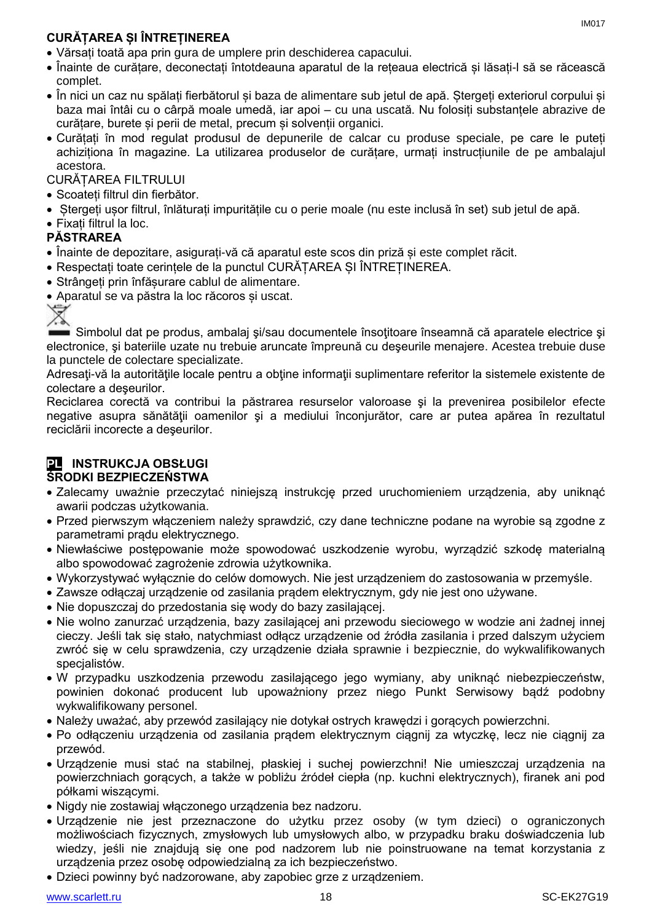### **CURĂȚAREA ȘI ÎNTREȚINEREA**

- Vărsați toată apa prin gura de umplere prin deschiderea capacului.
- Înainte de curățare, deconectați întotdeauna aparatul de la rețeaua electrică și lăsați-l să se răcească complet.
- În nici un caz nu spălați fierbătorul și baza de alimentare sub jetul de apă. Ștergeți exteriorul corpului și baza mai întâi cu o cârpă moale umedă, iar apoi – cu una uscată. Nu folosiți substanțele abrazive de curățare, burete și perii de metal, precum și solvenții organici.
- Curățați în mod regulat produsul de depunerile de calcar cu produse speciale, pe care le puteți achiziționa în magazine. La utilizarea produselor de curățare, urmați instrucțiunile de pe ambalajul acestora.

CURĂȚAREA FILTRULUI

- Scoateți filtrul din fierbător.
- Ștergeți ușor filtrul, înlăturați impuritățile cu o perie moale (nu este inclusă în set) sub jetul de apă.
- Fixați filtrul la loc.

#### **PĂSTRAREA**

- Înainte de depozitare, asigurați-vă că aparatul este scos din priză și este complet răcit.
- Respectați toate cerințele de la punctul CURĂȚAREA ȘI ÎNTREȚINEREA.
- Strângeți prin înfășurare cablul de alimentare.
- Aparatul se va păstra la loc răcoros și uscat.

Simbolul dat pe produs, ambalaj şi/sau documentele însoţitoare înseamnă că aparatele electrice şi electronice, şi bateriile uzate nu trebuie aruncate împreună cu deşeurile menajere. Acestea trebuie duse la punctele de colectare specializate.

Adresaţi-vă la autorităţile locale pentru a obţine informaţii suplimentare referitor la sistemele existente de colectare a deşeurilor.

Reciclarea corectă va contribui la păstrarea resurselor valoroase şi la prevenirea posibilelor efecte negative asupra sănătății oamenilor și a mediului înconjurător, care ar putea apărea în rezultatul reciclării incorecte a deşeurilor.

#### **PL INSTRUKCJA OBSŁUGI ŚRODKI BEZPIECZEŃSTWA**

- Zalecamy uważnie przeczytać niniejszą instrukcję przed uruchomieniem urządzenia, aby uniknąć awarii podczas użytkowania.
- Przed pierwszym włączeniem należy sprawdzić, czy dane techniczne podane na wyrobie są zgodne z parametrami prądu elektrycznego.
- Niewłaściwe postępowanie może spowodować uszkodzenie wyrobu, wyrządzić szkodę materialną albo spowodować zagrożenie zdrowia użytkownika.
- Wykorzystywać wyłącznie do celów domowych. Nie jest urządzeniem do zastosowania w przemyśle.
- Zawsze odłączaj urządzenie od zasilania prądem elektrycznym, gdy nie jest ono używane.
- Nie dopuszczaj do przedostania się wody do bazy zasilającej.
- Nie wolno zanurzać urządzenia, bazy zasilającej ani przewodu sieciowego w wodzie ani żadnej innej cieczy. Jeśli tak się stało, natychmiast odłącz urządzenie od źródła zasilania i przed dalszym użyciem zwróć się w celu sprawdzenia, czy urządzenie działa sprawnie i bezpiecznie, do wykwalifikowanych specjalistów.
- W przypadku uszkodzenia przewodu zasilającego jego wymiany, aby uniknąć niebezpieczeństw, powinien dokonać producent lub upoważniony przez niego Punkt Serwisowy bądź podobny wykwalifikowany personel.
- Należy uważać, aby przewód zasilający nie dotykał ostrych krawędzi i gorących powierzchni.
- Po odłączeniu urządzenia od zasilania prądem elektrycznym ciągnij za wtyczkę, lecz nie ciągnij za przewód.
- Urządzenie musi stać na stabilnej, płaskiej i suchej powierzchni! Nie umieszczaj urządzenia na powierzchniach gorących, a także w pobliżu źródeł ciepła (np. kuchni elektrycznych), firanek ani pod półkami wiszącymi.
- Nigdy nie zostawiaj włączonego urządzenia bez nadzoru.
- Urządzenie nie jest przeznaczone do użytku przez osoby (w tym dzieci) o ograniczonych możliwościach fizycznych, zmysłowych lub umysłowych albo, w przypadku braku doświadczenia lub wiedzy, jeśli nie znajdują się one pod nadzorem lub nie poinstruowane na temat korzystania z urządzenia przez osobę odpowiedzialną za ich bezpieczeństwo.
- Dzieci powinny być nadzorowane, aby zapobiec grze z urządzeniem.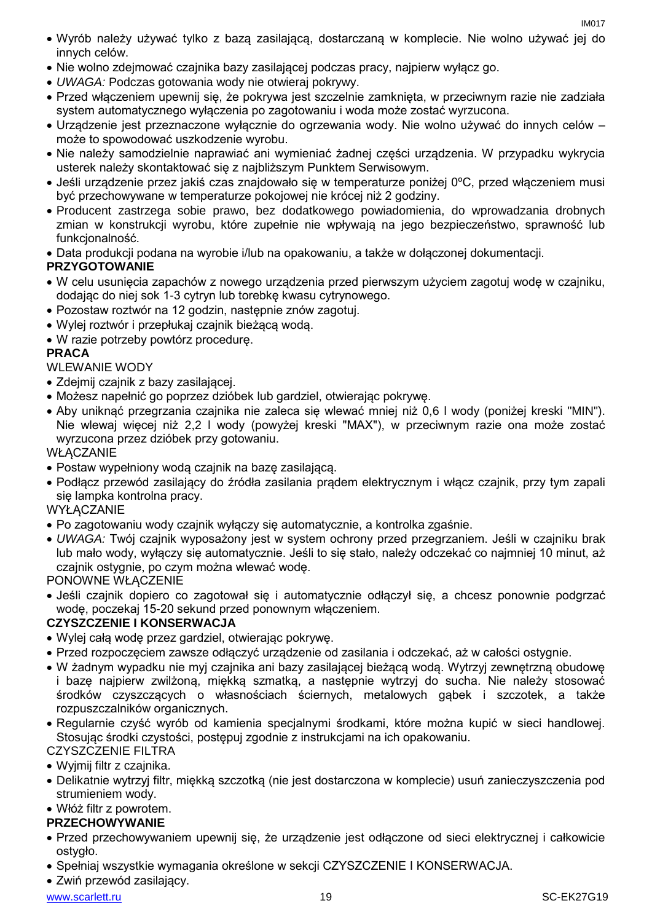- Wyrób należy używać tylko z bazą zasilającą, dostarczaną w komplecie. Nie wolno używać jej do innych celów.
- Nie wolno zdejmować czajnika bazy zasilającej podczas pracy, najpierw wyłącz go.
- *UWAGA:* Podczas gotowania wody nie otwieraj pokrywy.
- Przed włączeniem upewnij się, że pokrywa jest szczelnie zamknięta, w przeciwnym razie nie zadziała system automatycznego wyłączenia po zagotowaniu i woda może zostać wyrzucona.
- Urządzenie jest przeznaczone wyłącznie do ogrzewania wody. Nie wolno używać do innych celów może to spowodować uszkodzenie wyrobu.
- Nie należy samodzielnie naprawiać ani wymieniać żadnej części urządzenia. W przypadku wykrycia usterek należy skontaktować się z najbliższym Punktem Serwisowym.
- Jeśli urządzenie przez jakiś czas znajdowało się w temperaturze poniżej 0ºC, przed włączeniem musi być przechowywane w temperaturze pokojowej nie krócej niż 2 godziny.
- Producent zastrzega sobie prawo, bez dodatkowego powiadomienia, do wprowadzania drobnych zmian w konstrukcji wyrobu, które zupełnie nie wpływają na jego bezpieczeństwo, sprawność lub funkcionalność.
- Data produkcji podana na wyrobie i/lub na opakowaniu, a także w dołączonej dokumentacji.

#### **PRZYGOTOWANIE**

- W celu usunięcia zapachów z nowego urządzenia przed pierwszym użyciem zagotuj wodę w czajniku, dodając do niej sok 1-3 cytryn lub torebkę kwasu cytrynowego.
- Pozostaw roztwór na 12 godzin, następnie znów zagotuj.
- Wylej roztwór i przepłukaj czajnik bieżącą wodą.
- W razie potrzeby powtórz procedurę.

#### **PRACA**

WLEWANIE WODY

- Zdejmij czajnik z bazy zasilającej.
- Możesz napełnić go poprzez dzióbek lub gardziel, otwierając pokrywę.
- Aby uniknąć przegrzania czajnika nie zaleca się wlewać mniej niż 0,6 l wody (poniżej kreski "MIN"). Nie wlewaj więcej niż 2,2 l wody (powyżej kreski "MAX"), w przeciwnym razie ona może zostać wyrzucona przez dzióbek przy gotowaniu.

#### **WŁĄCZANIE**

- Postaw wypełniony wodą czajnik na bazę zasilającą.
- Podłącz przewód zasilający do źródła zasilania prądem elektrycznym i włącz czajnik, przy tym zapali się lampka kontrolna pracy.

#### **WYŁACZANIE**

- Po zagotowaniu wody czajnik wyłączy się automatycznie, a kontrolka zgaśnie.
- *UWAGA:* Twój czajnik wyposażony jest w system ochrony przed przegrzaniem. Jeśli w czajniku brak lub mało wody, wyłączy się automatycznie. Jeśli to się stało, należy odczekać co najmniej 10 minut, aż czajnik ostygnie, po czym można wlewać wodę.

#### PONOWNE WŁĄCZENIE

 Jeśli czajnik dopiero co zagotował się i automatycznie odłączył się, a chcesz ponownie podgrzać wodę, poczekaj 15-20 sekund przed ponownym włączeniem.

#### **CZYSZCZENIE I KONSERWACJA**

- Wylej całą wodę przez gardziel, otwierając pokrywę.
- Przed rozpoczęciem zawsze odłączyć urządzenie od zasilania i odczekać, aż w całości ostygnie.
- W żadnym wypadku nie myj czajnika ani bazy zasilającej bieżącą wodą. Wytrzyj zewnętrzną obudowę i bazę najpierw zwilżoną, miękką szmatką, a następnie wytrzyj do sucha. Nie należy stosować środków czyszczących o własnościach ściernych, metalowych gąbek i szczotek, a także rozpuszczalników organicznych.
- Regularnie czyść wyrób od kamienia specjalnymi środkami, które można kupić w sieci handlowej. Stosując środki czystości, postępuj zgodnie z instrukcjami na ich opakowaniu.

### CZYSZCZENIE FILTRA

- Wyjmij filtr z czajnika.
- Delikatnie wytrzyj filtr, miękką szczotką (nie jest dostarczona w komplecie) usuń zanieczyszczenia pod strumieniem wody.

#### Włóż filtr z powrotem. **PRZECHOWYWANIE**

- Przed przechowywaniem upewnij się, że urządzenie jest odłączone od sieci elektrycznej i całkowicie ostygło.
- Spełniaj wszystkie wymagania określone w sekcji CZYSZCZENIE I KONSERWACJA.
- Zwiń przewód zasilający.